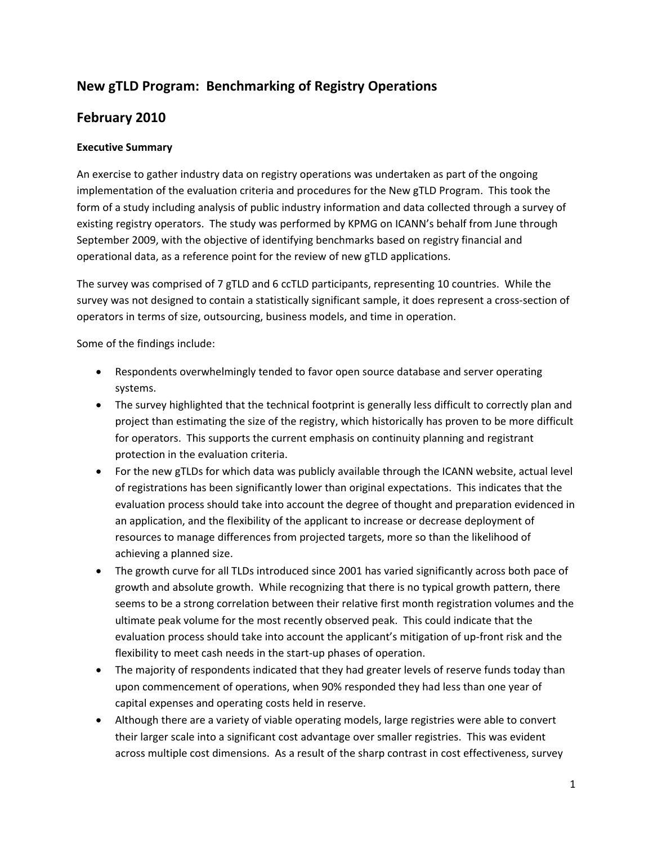#### **New gTLD Program: Benchmarking of Registry Operations**

#### **February 2010**

#### **Executive Summary**

An exercise to gather industry data on registry operations was undertaken as part of the ongoing implementation of the evaluation criteria and procedures for the New gTLD Program. This took the form of a study including analysis of public industry information and data collected through a survey of existing registry operators. The study was performed by KPMG on ICANN's behalf from June through September 2009, with the objective of identifying benchmarks based on registry financial and operational data, as a reference point for the review of new gTLD applications.

The survey was comprised of 7 gTLD and 6 ccTLD participants, representing 10 countries. While the survey was not designed to contain a statistically significant sample, it does represent a cross-section of operators in terms of size, outsourcing, business models, and time in operation.

Some of the findings include:

- Respondents overwhelmingly tended to favor open source database and server operating systems.
- The survey highlighted that the technical footprint is generally less difficult to correctly plan and project than estimating the size of the registry, which historically has proven to be more difficult for operators. This supports the current emphasis on continuity planning and registrant protection in the evaluation criteria.
- For the new gTLDs for which data was publicly available through the ICANN website, actual level of registrations has been significantly lower than original expectations. This indicates that the evaluation process should take into account the degree of thought and preparation evidenced in an application, and the flexibility of the applicant to increase or decrease deployment of resources to manage differences from projected targets, more so than the likelihood of achieving a planned size.
- The growth curve for all TLDs introduced since 2001 has varied significantly across both pace of growth and absolute growth. While recognizing that there is no typical growth pattern, there seems to be a strong correlation between their relative first month registration volumes and the ultimate peak volume for the most recently observed peak. This could indicate that the evaluation process should take into account the applicant's mitigation of up‐front risk and the flexibility to meet cash needs in the start-up phases of operation.
- The majority of respondents indicated that they had greater levels of reserve funds today than upon commencement of operations, when 90% responded they had less than one year of capital expenses and operating costs held in reserve.
- Although there are a variety of viable operating models, large registries were able to convert their larger scale into a significant cost advantage over smaller registries. This was evident across multiple cost dimensions. As a result of the sharp contrast in cost effectiveness, survey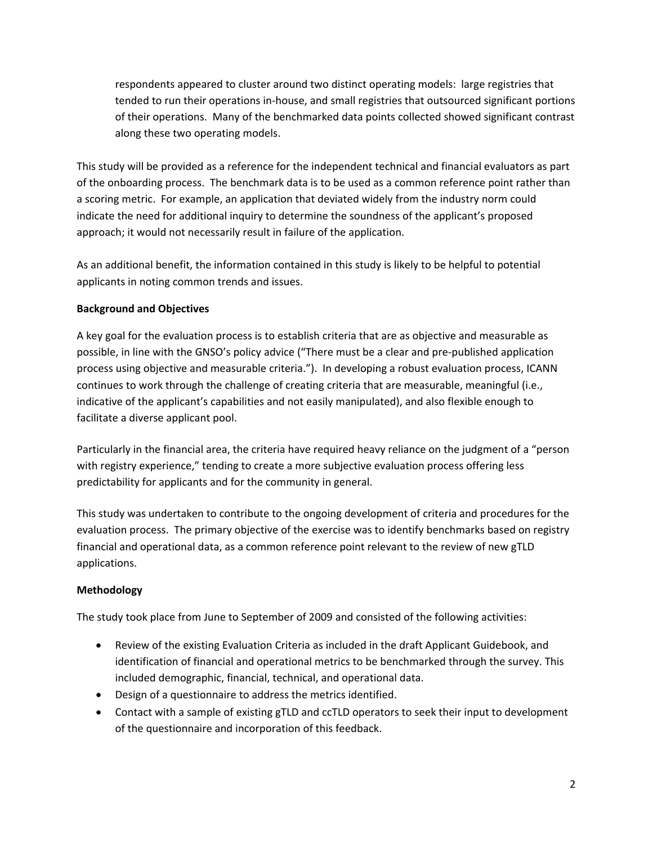respondents appeared to cluster around two distinct operating models: large registries that tended to run their operations in‐house, and small registries that outsourced significant portions of their operations. Many of the benchmarked data points collected showed significant contrast along these two operating models.

This study will be provided as a reference for the independent technical and financial evaluators as part of the onboarding process. The benchmark data is to be used as a common reference point rather than a scoring metric. For example, an application that deviated widely from the industry norm could indicate the need for additional inquiry to determine the soundness of the applicant's proposed approach; it would not necessarily result in failure of the application.

As an additional benefit, the information contained in this study is likely to be helpful to potential applicants in noting common trends and issues.

#### **Background and Objectives**

A key goal for the evaluation process is to establish criteria that are as objective and measurable as possible, in line with the GNSO's policy advice ("There must be a clear and pre‐published application process using objective and measurable criteria."). In developing a robust evaluation process, ICANN continues to work through the challenge of creating criteria that are measurable, meaningful (i.e., indicative of the applicant's capabilities and not easily manipulated), and also flexible enough to facilitate a diverse applicant pool.

Particularly in the financial area, the criteria have required heavy reliance on the judgment of a "person with registry experience," tending to create a more subjective evaluation process offering less predictability for applicants and for the community in general.

This study was undertaken to contribute to the ongoing development of criteria and procedures for the evaluation process. The primary objective of the exercise was to identify benchmarks based on registry financial and operational data, as a common reference point relevant to the review of new gTLD applications.

#### **Methodology**

The study took place from June to September of 2009 and consisted of the following activities:

- Review of the existing Evaluation Criteria as included in the draft Applicant Guidebook, and identification of financial and operational metrics to be benchmarked through the survey. This included demographic, financial, technical, and operational data.
- Design of a questionnaire to address the metrics identified.
- Contact with a sample of existing gTLD and ccTLD operators to seek their input to development of the questionnaire and incorporation of this feedback.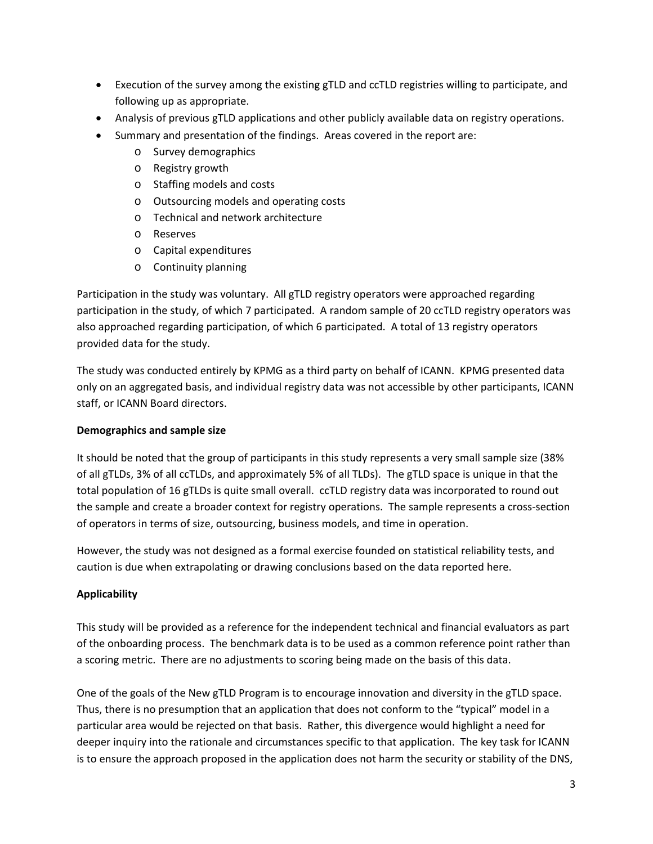- Execution of the survey among the existing gTLD and ccTLD registries willing to participate, and following up as appropriate.
- Analysis of previous gTLD applications and other publicly available data on registry operations.
- Summary and presentation of the findings. Areas covered in the report are:
	- o Survey demographics
	- o Registry growth
	- o Staffing models and costs
	- o Outsourcing models and operating costs
	- o Technical and network architecture
	- o Reserves
	- o Capital expenditures
	- o Continuity planning

Participation in the study was voluntary. All gTLD registry operators were approached regarding participation in the study, of which 7 participated. A random sample of 20 ccTLD registry operators was also approached regarding participation, of which 6 participated. A total of 13 registry operators provided data for the study.

The study was conducted entirely by KPMG as a third party on behalf of ICANN. KPMG presented data only on an aggregated basis, and individual registry data was not accessible by other participants, ICANN staff, or ICANN Board directors.

#### **Demographics and sample size**

It should be noted that the group of participants in this study represents a very small sample size (38% of all gTLDs, 3% of all ccTLDs, and approximately 5% of all TLDs). The gTLD space is unique in that the total population of 16 gTLDs is quite small overall. ccTLD registry data was incorporated to round out the sample and create a broader context for registry operations. The sample represents a cross‐section of operators in terms of size, outsourcing, business models, and time in operation.

However, the study was not designed as a formal exercise founded on statistical reliability tests, and caution is due when extrapolating or drawing conclusions based on the data reported here.

#### **Applicability**

This study will be provided as a reference for the independent technical and financial evaluators as part of the onboarding process. The benchmark data is to be used as a common reference point rather than a scoring metric. There are no adjustments to scoring being made on the basis of this data.

One of the goals of the New gTLD Program is to encourage innovation and diversity in the gTLD space. Thus, there is no presumption that an application that does not conform to the "typical" model in a particular area would be rejected on that basis. Rather, this divergence would highlight a need for deeper inquiry into the rationale and circumstances specific to that application. The key task for ICANN is to ensure the approach proposed in the application does not harm the security or stability of the DNS,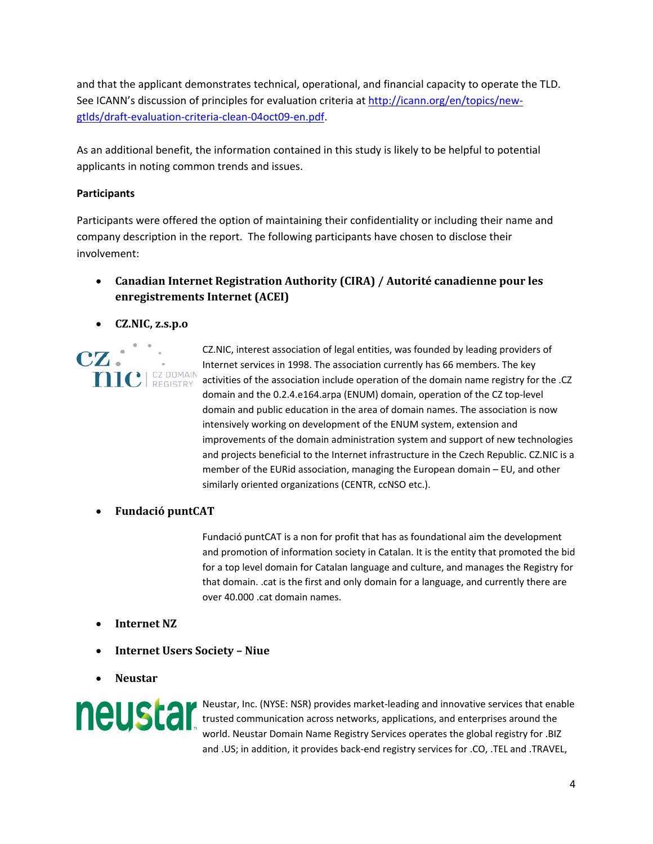and that the applicant demonstrates technical, operational, and financial capacity to operate the TLD. See ICANN's discussion of principles for evaluation criteria at http://icann.org/en/topics/new‐ gtlds/draft‐evaluation‐criteria‐clean‐04oct09‐en.pdf.

As an additional benefit, the information contained in this study is likely to be helpful to potential applicants in noting common trends and issues.

#### **Participants**

 $CZ$  .

Participants were offered the option of maintaining their confidentiality or including their name and company description in the report. The following participants have chosen to disclose their involvement:

- **Canadian Internet Registration Authority (CIRA) / Autorité canadienne pour les enregistrements Internet (ACEI)**
- **CZ.NIC, z.s.p.o**

CZ.NIC, interest association of legal entities, was founded by leading providers of Internet services in 1998. The association currently has 66 members. The key **nic** REGISTRY activities of the association include operation of the domain name registry for the .CZ domain and the 0.2.4.e164.arpa (ENUM) domain, operation of the CZ top‐level domain and public education in the area of domain names. The association is now intensively working on development of the ENUM system, extension and improvements of the domain administration system and support of new technologies and projects beneficial to the Internet infrastructure in the Czech Republic. CZ.NIC is a member of the EURid association, managing the European domain – EU, and other similarly oriented organizations (CENTR, ccNSO etc.).

• **Fundació puntCAT**

Fundació puntCAT is a non for profit that has as foundational aim the development and promotion of information society in Catalan. It is the entity that promoted the bid for a top level domain for Catalan language and culture, and manages the Registry for that domain. .cat is the first and only domain for a language, and currently there are over 40.000 .cat domain names.

- **Internet NZ**
- **Internet Users Society – Niue**
- **Neustar**



Neustar, Inc. (NYSE: NSR) provides market‐leading and innovative services that enable trusted communication across networks, applications, and enterprises around the world. Neustar Domain Name Registry Services operates the global registry for .BIZ and .US; in addition, it provides back‐end registry services for .CO, .TEL and .TRAVEL,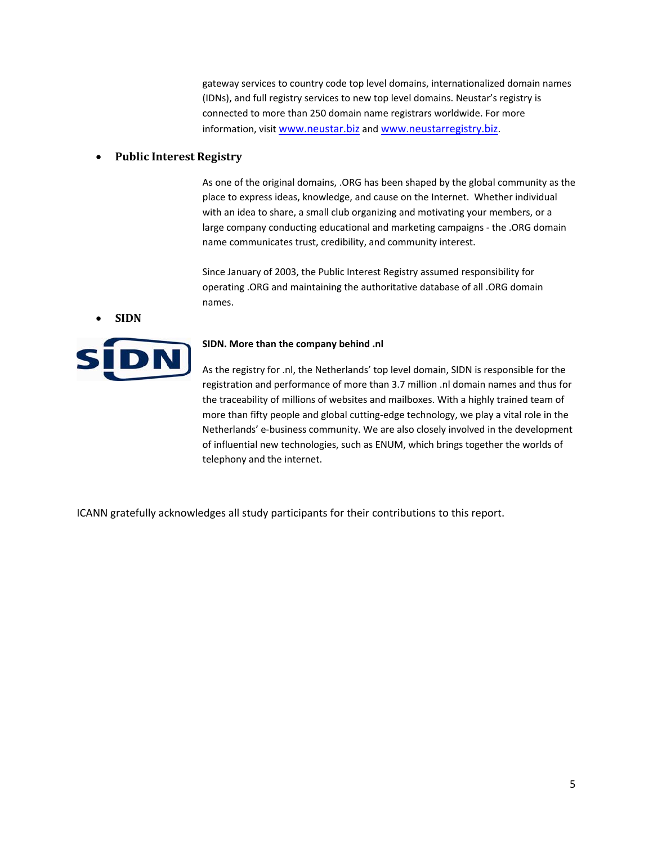gateway services to country code top level domains, internationalized domain names (IDNs), and full registry services to new top level domains. Neustar's registry is connected to more than 250 domain name registrars worldwide. For more information, visit www.neustar.biz and www.neustarregistry.biz.

#### • **Public Interest Registry**

 As one of the original domains, .ORG has been shaped by the global community as the place to express ideas, knowledge, and cause on the Internet. Whether individual with an idea to share, a small club organizing and motivating your members, or a large company conducting educational and marketing campaigns ‐ the .ORG domain name communicates trust, credibility, and community interest.

Since January of 2003, the Public Interest Registry assumed responsibility for operating .ORG and maintaining the authoritative database of all .ORG domain names.

• **SIDN**



#### **SIDN. More than the company behind .nl**

As the registry for .nl, the Netherlands' top level domain, SIDN is responsible for the registration and performance of more than 3.7 million .nl domain names and thus for the traceability of millions of websites and mailboxes. With a highly trained team of more than fifty people and global cutting‐edge technology, we play a vital role in the Netherlands' e‐business community. We are also closely involved in the development of influential new technologies, such as ENUM, which brings together the worlds of telephony and the internet.

ICANN gratefully acknowledges all study participants for their contributions to this report.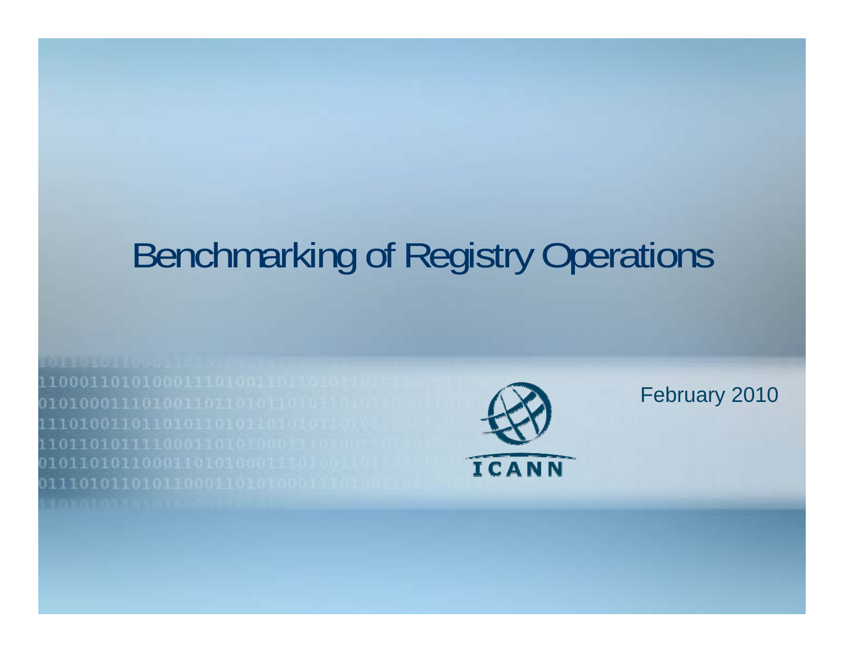## Benchmarking of Registry Operations



February 2010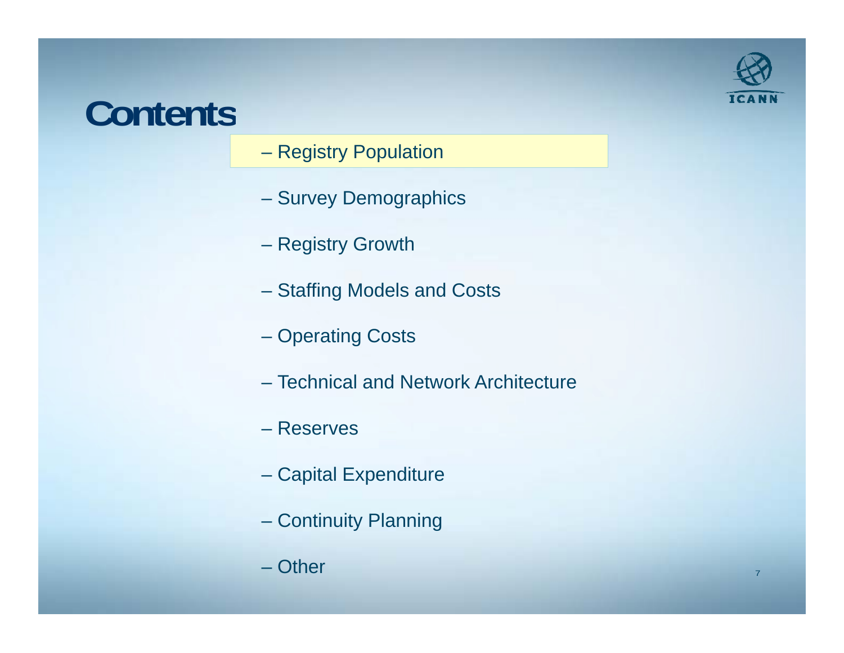### **Contents**



- Registry Population
- Survey Demographics
- Registry Growth
- Staffing Models and Costs
- Operating Costs
- Technical and Network Architecture
- Reserves
- Capital Expenditure
- Continuity Planning
- Other $\blacksquare$  . The contract of the contract of the contract of the contract of the contract of the contract of the contract of the contract of the contract of the contract of the contract of the contract of the contract of the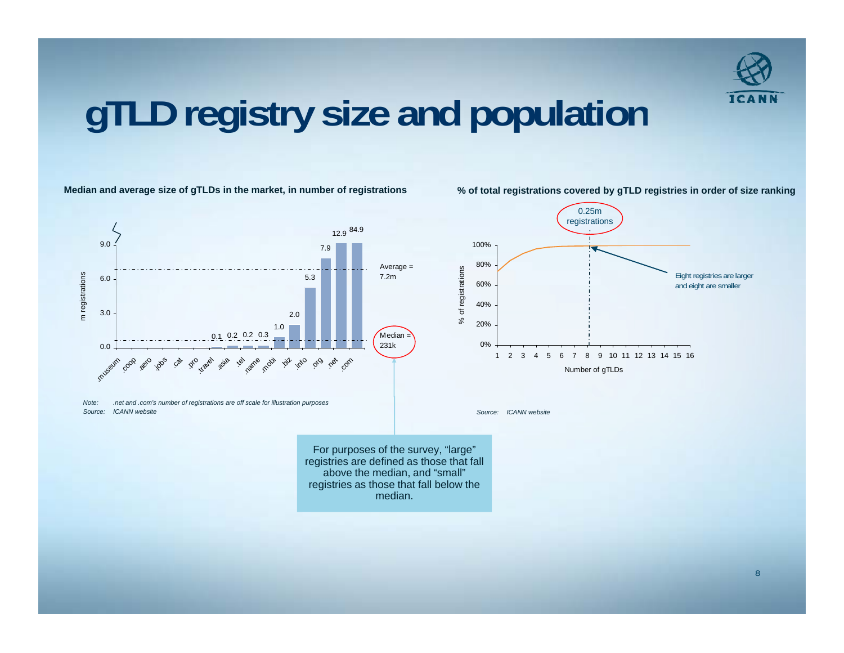

### **gTLD registry size and population**

#### **Median and average size of gTLDs in the market, in number of registrations % of total registrations covered by gTLD registries in order of size ranking**



*Note: .net and .com's number of registrations are off scale for illustration purposes Source: ICANN website*

0.25m registrations 100%80%of registrations Eight registries are larger 60%% of registraand eight are smaller 40% $\aleph$ 20%0%1 2 3 4 5 6 7 8 9 10 11 12 13 14 15 16Number of gTLDs

*Source: ICANN website*

For purposes of the survey, "large" registries are defined as those that fall above the median, and "small" registries as those that fall below the median.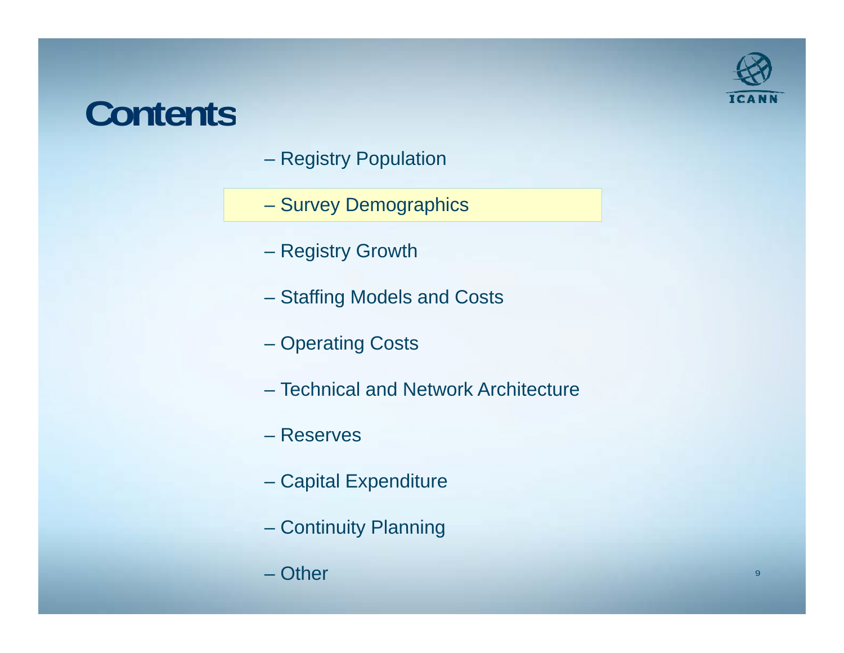### **Contents**

- Registry Population
- Survey Demographics
- Registry Growth
- Staffing Models and Costs
- Operating Costs
- Technical and Network Architecture
- Reserves
- Capital Expenditure
- Continuity Planning
- Other

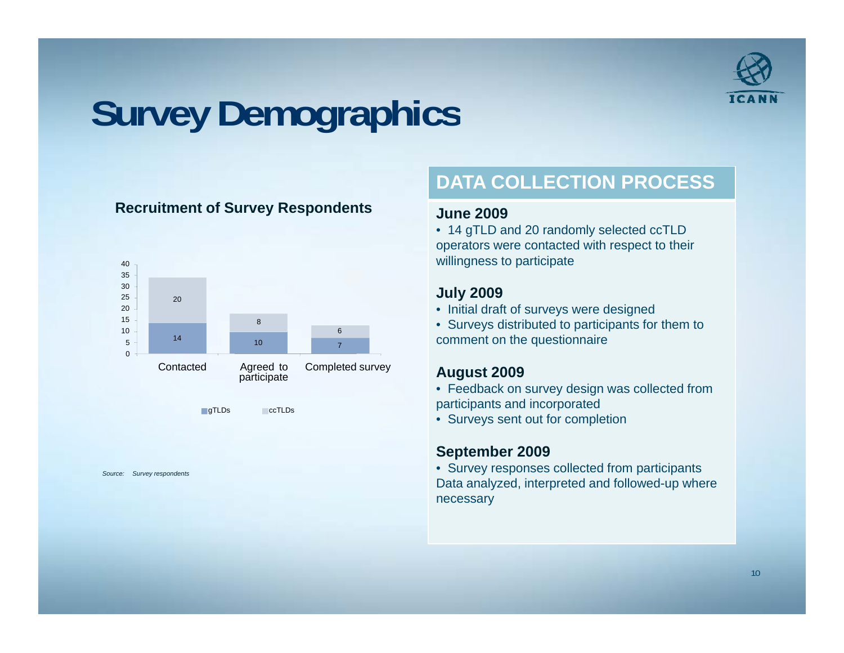

### **Survey Demographics**

#### **R it t f S R d t Recruitment of Survey Respon dents**





*Source: Survey respondents*

### **DATA COLLECTION PROCESS**

#### **June 2009**

• 14 gTLD and 20 randomly selected ccTLD operators were contacted with respect to their willingness to participate

#### **July 2009**

- Initial draft of surveys were designed
- Surveys distributed to participants for them to comment on the questionnaire

#### **A t 2009 August**

- Feedback on survey design was collected from participants and incorporated
- Surveys sent out for completion

#### **September 2009**

• Survey responses collected from participants Data analyzed, interpreted and followed-up where necessary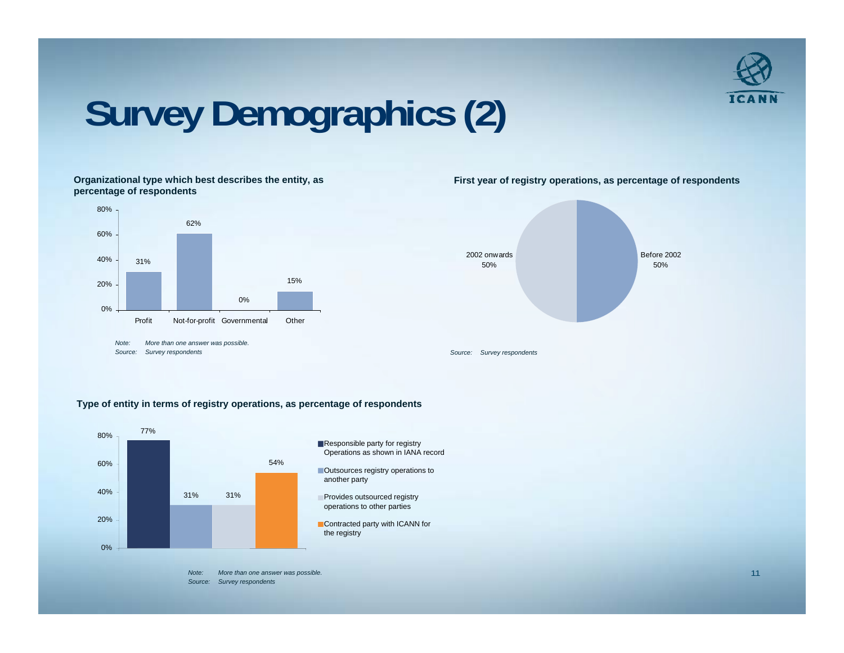

### **Survey Demographics (2)**

**Organizational type which best describes the entity, as percentage of respondents**





**First year of registry operations, as percentage of respondents**

#### **Type of entity in terms of registry operations, as percentage of respondents**

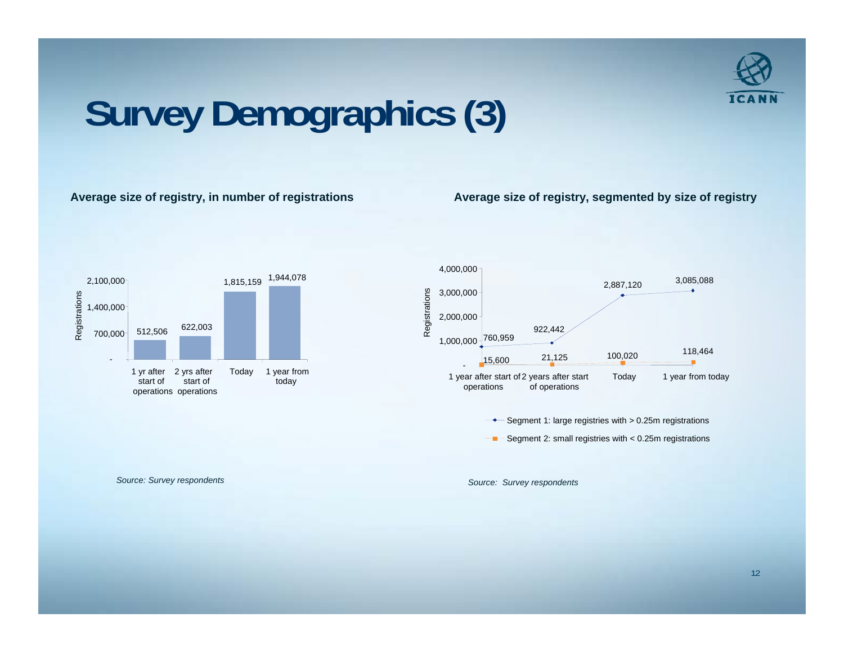

## **Survey Demographics (3)**

#### **Avera ge size of re g y, g istry, in number of re gistrations**

**Avera g g y, g y g y e size of re gistry, se gmented b y size of re gistr**





*Source: Survey respondents Source: Survey respondents*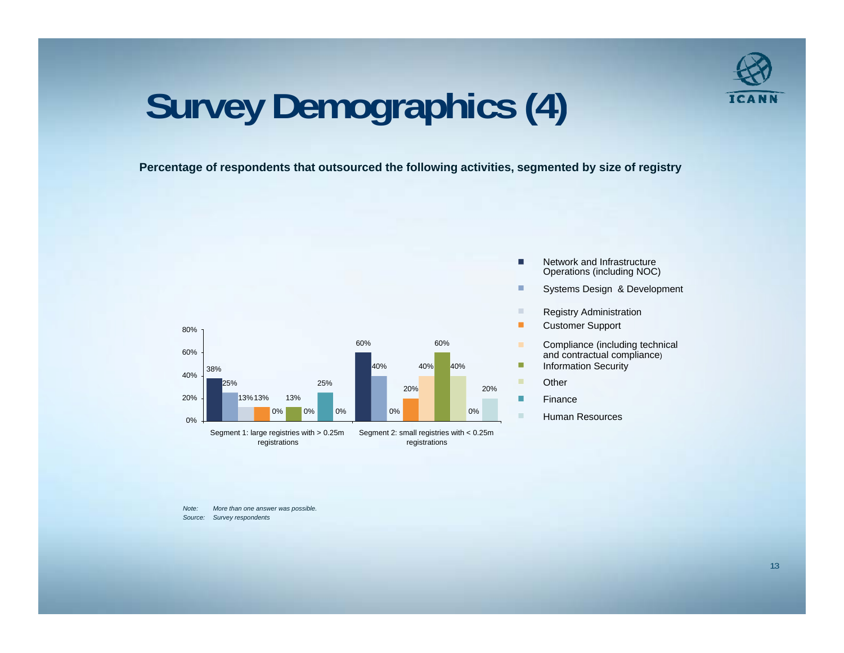

## **Survey g p () Demographics (4)**

**Percentage of respondents that outsourced the following activities, segmented by size of registry** 



- $\overline{\phantom{a}}$ Network and Infrastructure Operations (including NOC)
	- Systems Design & Development
	- Registry Administration
- Customer Support
- Compliance (including technical and contractual compliance)
- 
- **Other**

п

- Finance
- Human Resources

*Note: More than one answer was possible. Source: Survey respondents*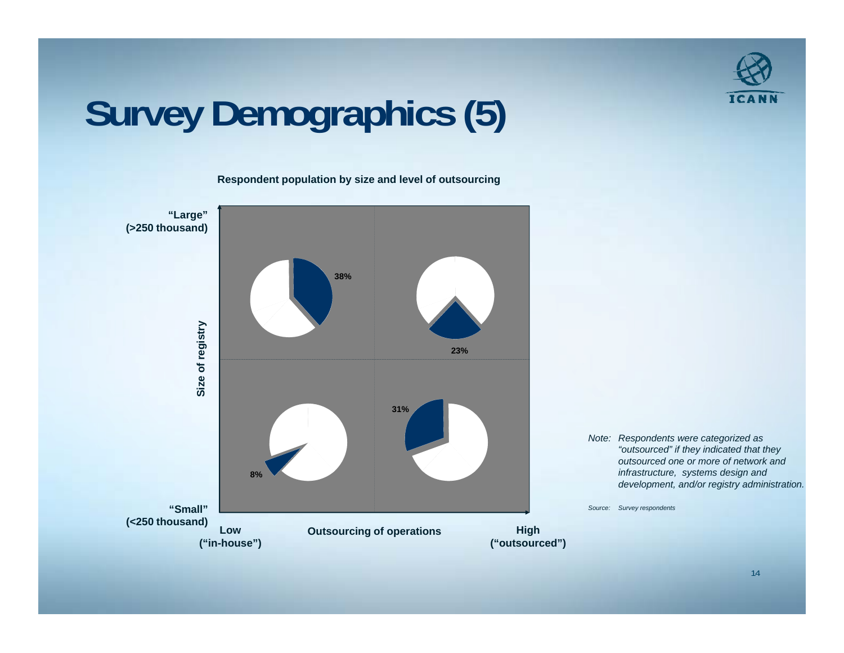

## **Survey Demographics (5)**

**Respondent population by size and level of outsourcing**



*Note: Respondents were categorized as "outsourced" if they indicated that they outsourced outsourced one or more of network and infrastructure, systems design and development, and/or registry administration.*

*Source: Survey respondents*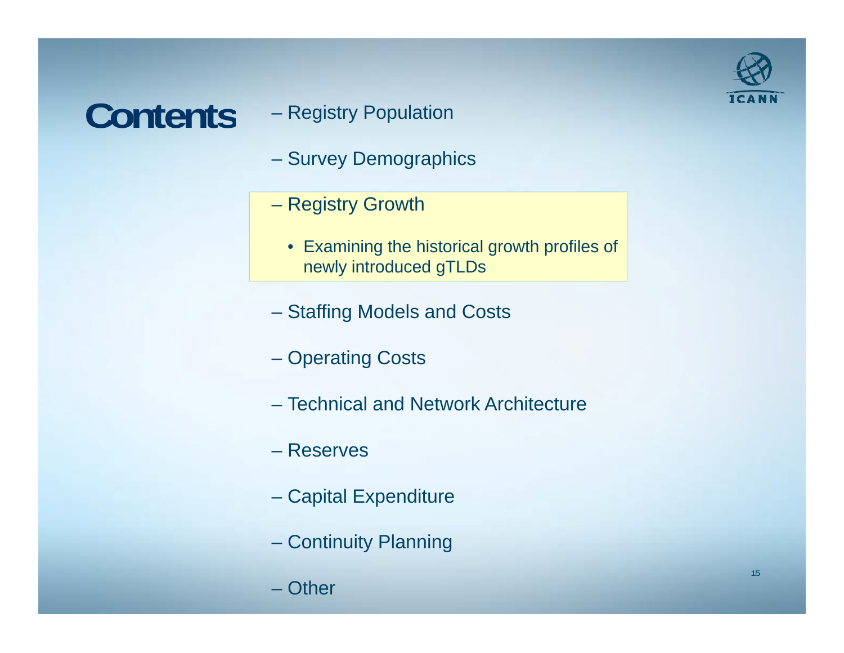### **Contents**

- Registry Population
- Survey Demographics
- Registry Growth
	- Examining the historical growth profiles of newly introduced gTLDs
- Staffing Models and Costs
- Operating Costs
- Technical and Network Architecture
- Reserves
- Capital Expenditure
- Continuity Planning
- Other

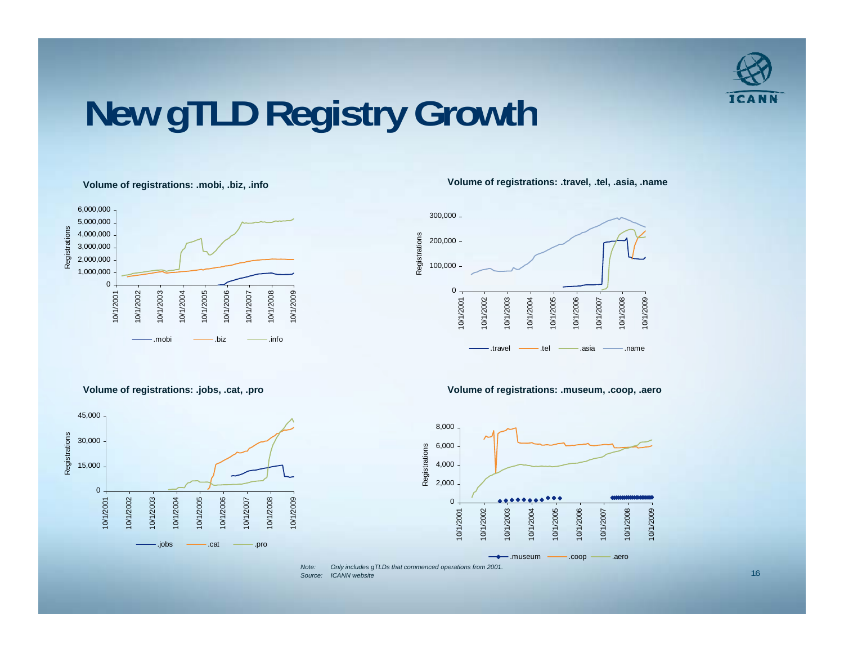

### **New gTLD Registry Growth**



**Volume of registrations: .mobi, .biz, .info Volume of registrations: .travel, .tel, .asia, .name**



**Volume of registrations: .jobs, .cat, .pro Volume of registrations: .museum, .coop, .aero** 





 *Note: Only includes gTLDs that commenced operations from 2001. Source: ICANN website***ICANN** website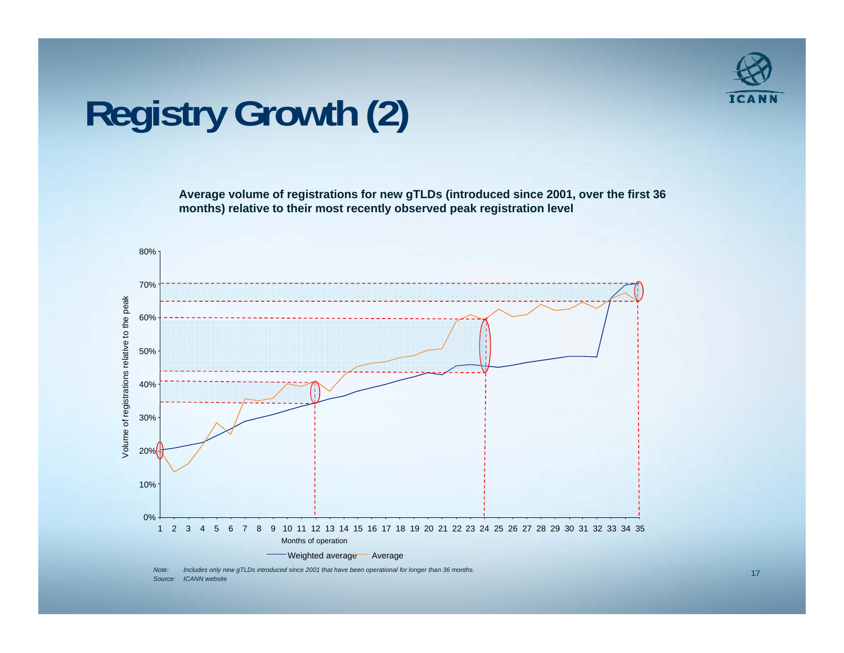

### **Registry Growth (2)**

**Average volume of registrations for new gTLDs (introduced since 2001, over the first 36 months) relative to their most recently observed peak registration level**



*Note: Includes only new gTLDs introduced since 2001 that have been operational for longer than 36 months. Source: ICANN website*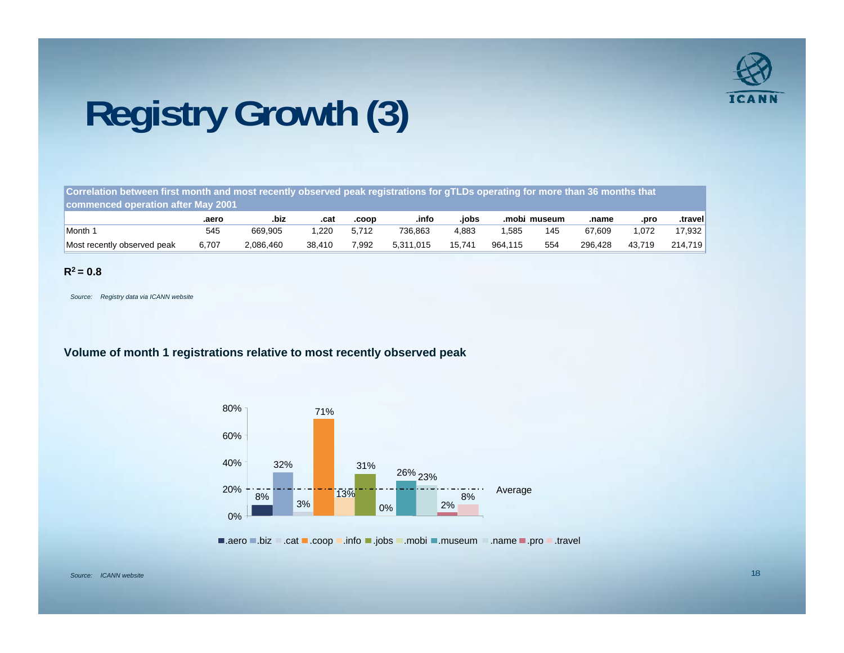

## **Registry Growth (3)**

**Correlation between first month and most recently observed peak registrations for gTLDs operating for more than 36 months that d ti ft M 2001 commence d operation after May** 

|                             | .aerc | .biz      | .cat   | .coop | .infc     | .iobs  | .mobi   | museum | .name   | .prc   | .travel |
|-----------------------------|-------|-----------|--------|-------|-----------|--------|---------|--------|---------|--------|---------|
| Month                       | 545   | 669,905   | 220    | 5.712 | 736,863   | 4.883  | .585    | 145    | 67.609  | .072   | 17,932  |
| Most recently observed peak | 6.707 | 2.086.460 | 38.410 | 7.992 | 5.311.015 | 15.741 | 964.115 | 554    | 296.428 | 43.719 | 214.719 |

#### $R^2 = 0.8$

*Source: Registry data via ICANN website*

**Volume of month 1 registrations relative to most recently observed peak**



.aero ■.biz ∴cat ■.coop ∴info ■.jobs .mobi ■.museum ∴name .pro .travel

*Source: ICANN website*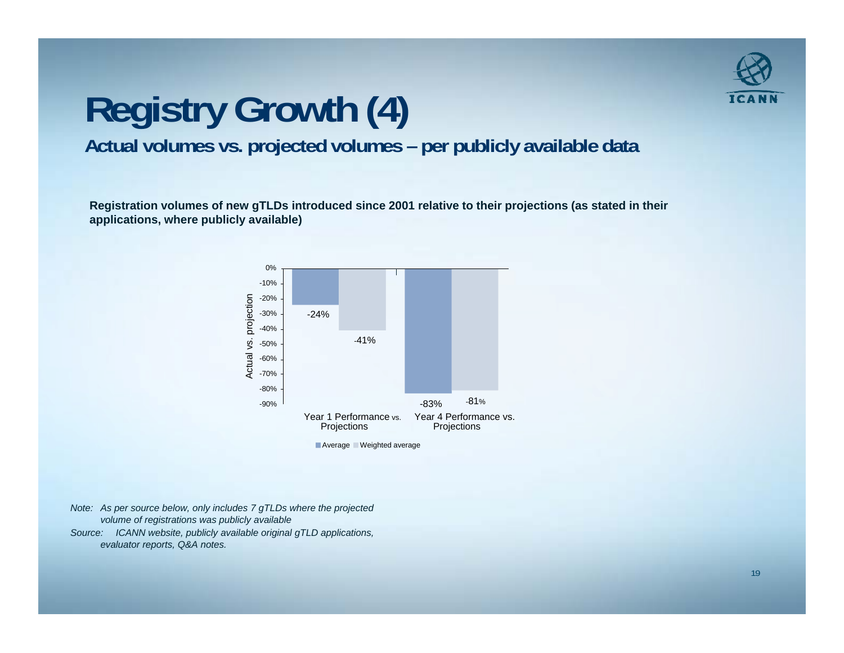

### **Registry Growth (4) Actual volumes vs. projected volumes – per publicly available data**

Registration volumes of new gTLDs introduced since 2001 relative to their projections (as stated in their **applications, where publicly available)**



- *Note: As per source below, only includes 7 gTLDs where the projected volume of registrations was publicly available*
- *Source: ICANN website publicly available original gTLD applications website, applications, evaluator reports, Q&A notes.*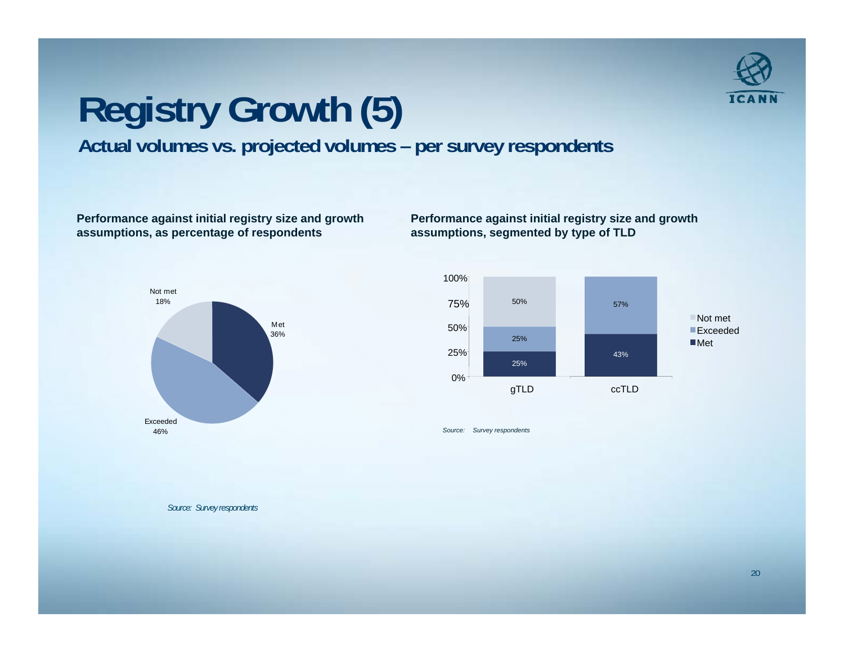

# **Registry Growth (5)**

**Actual volumes vs. projected volumes – per survey respondents**

**Performance against initial registry size and growth assumptions, as percentage of respondents**



**Performance against initial registry size and growth assumptions, segmented by type of TLD**



*Source: Survey respondents*

*Source: Survey respondents*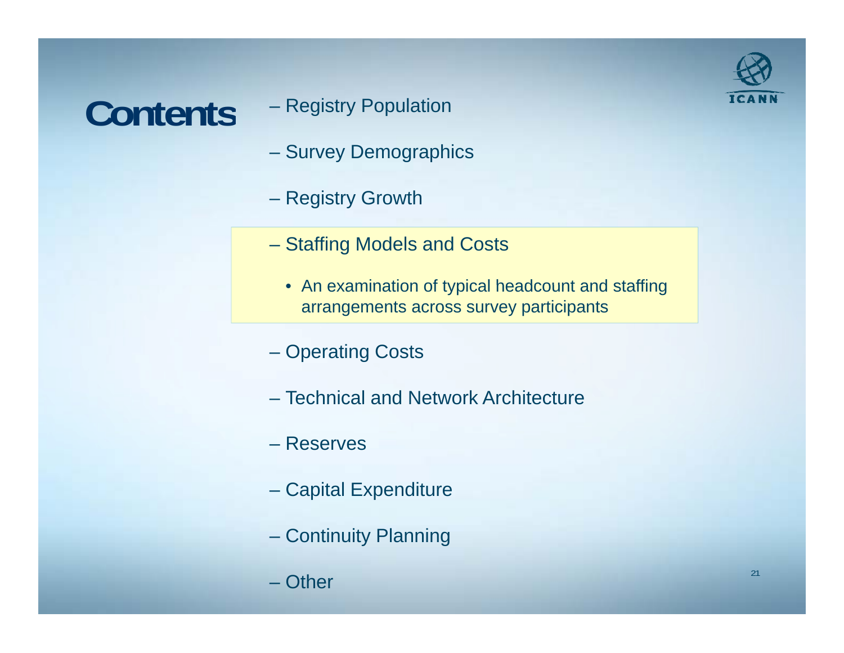### **Contents**

- Registry Population
- Survey Demographics
- Registry Growth
- Staffing Models and Costs
	- $\bullet$  An examination of typical headcount and staffing arrangements across survey participants
- Operating Costs
- Technical and Network Architecture
- Reserves
- Capital Expenditure
- Continuity Planning
- Other

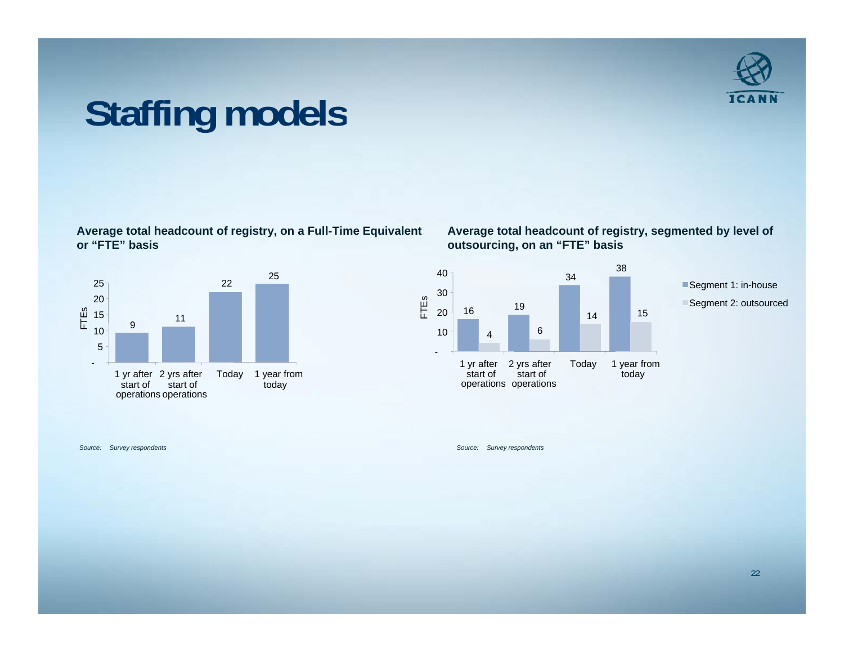

### **Staffing models**

**Average total headcount of registry, on a Full-Time Equivalent or "FTE" basis**



**Average total headcount of registry, segmented by level of outsourcing, on an "FTE" basis** 



*Source:*

 *Survey respondents Source: Survey respondents*  $\mathcal{L} = \mathcal{L} \mathcal{L}$  . The contract of the contract of the contract of the contract of the contract of the contract of the contract of the contract of the contract of the contract of the contract of the contract of the c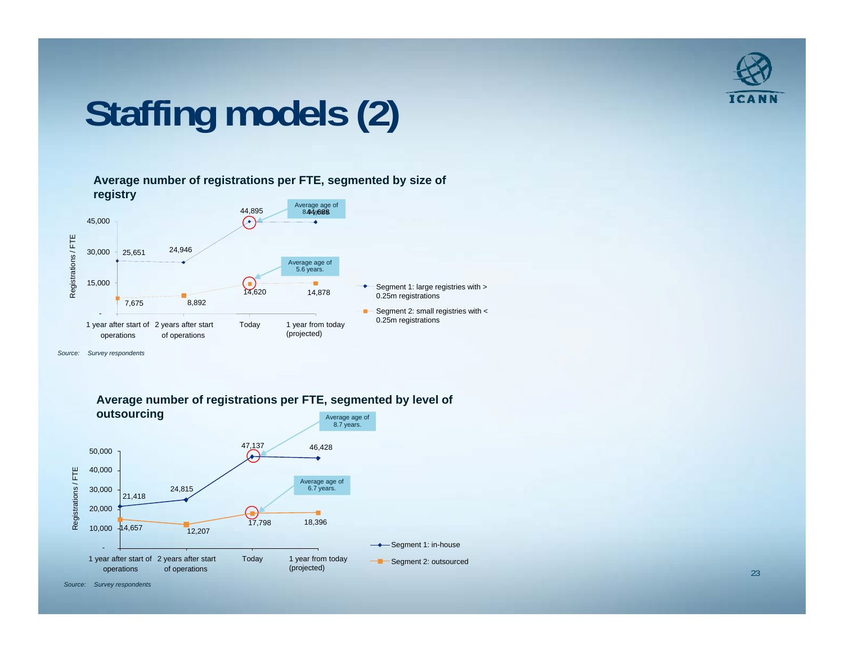

## **Staffing models (2)**

**Average number of registrations per FTE, segmented by size of registry** 



*Source: Survey respondents*



**Average number of registrations per FTE, segmented by level of**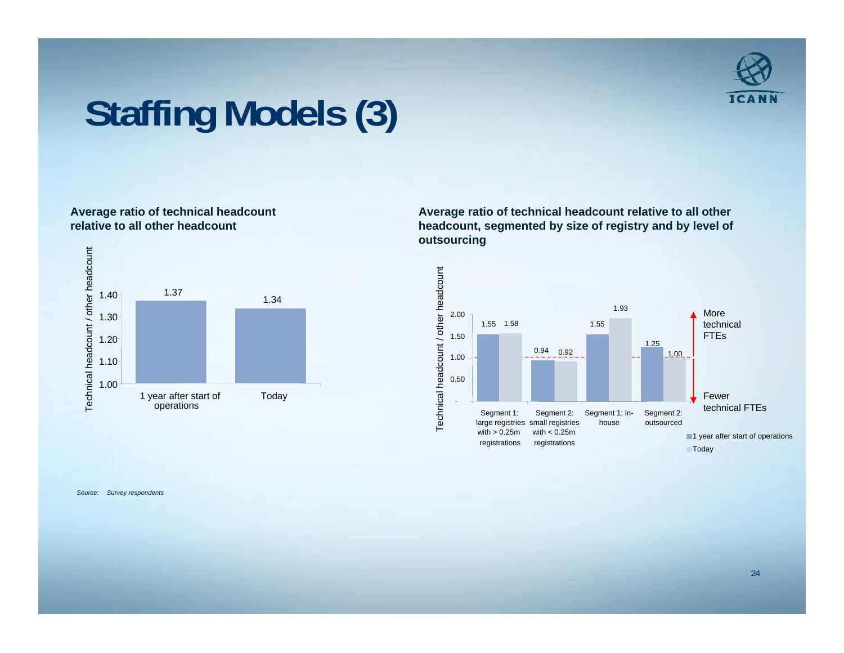

### **Staffing Models (3)**

#### **Average ratio of technical headcount relative to all other headcount**



**Average ratio of technical headcount relative to all other headcount, segmented by size of registry and by level of outsourcing**



*Source: Survey respondents*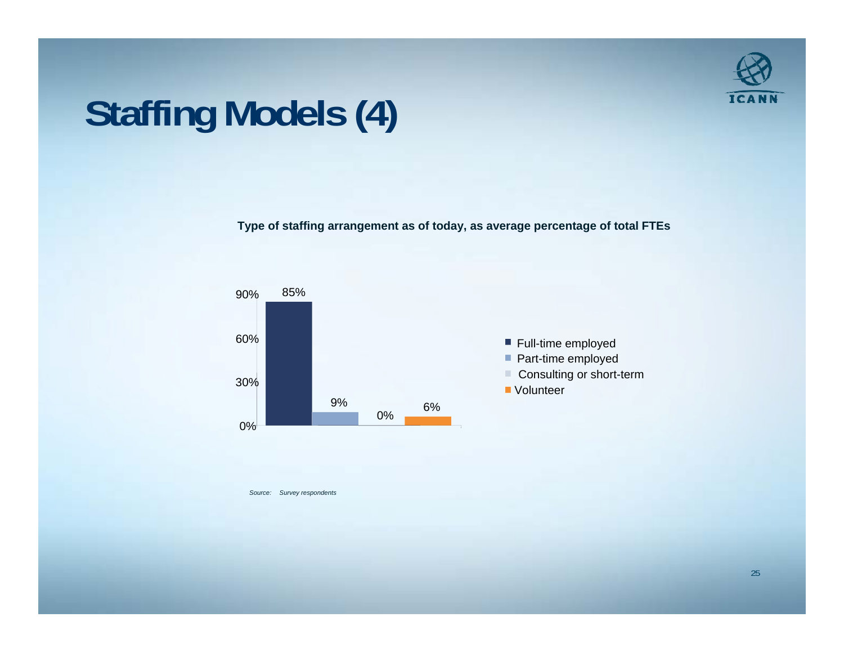

## **Staffing Models (4)**

**Type of staffing arrangement as of today, as average percentage of total FTEs**



*Source: Survey respondents*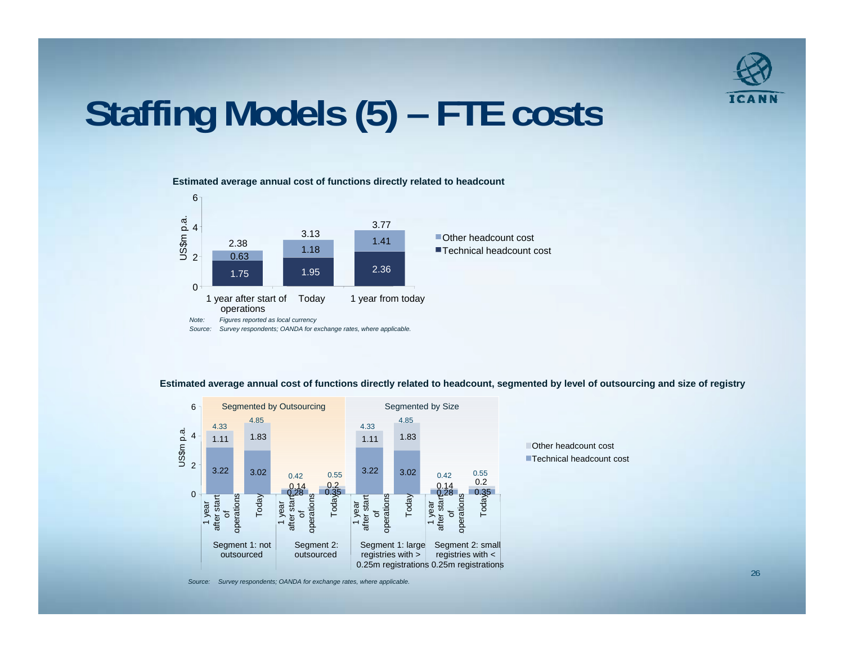

### **Staffing Models (5) FTE costs**

**Estimated average annual cost of functions directly related to headcount**



**Estimated average annual cost of functions directly related to headcount, segmented by level of outsourcing and size of registr y**



*Source: Survey respondents; OANDA for exchange rates, where applicable.*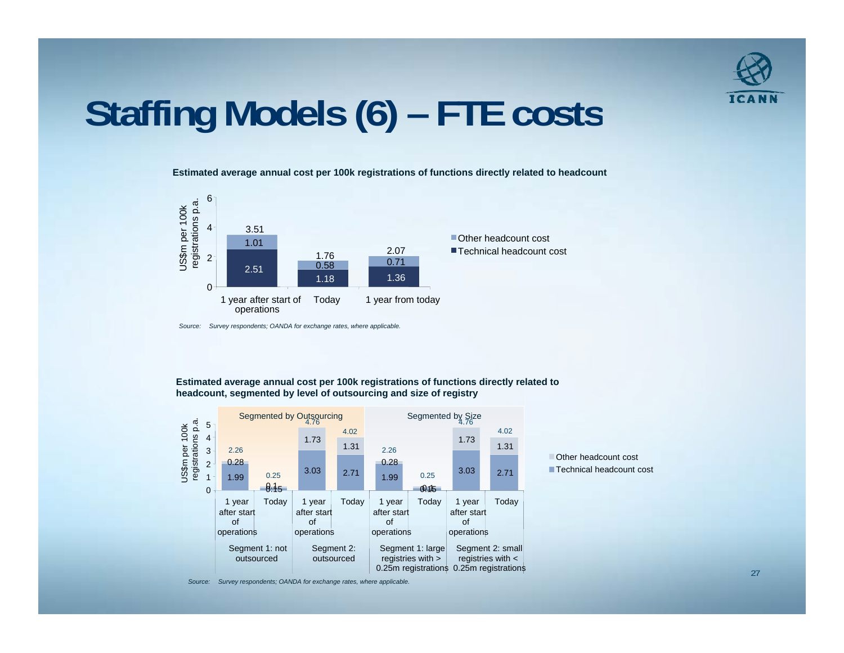

### **Staffing Models (6) FTE costs**

**Estimated average annual cost per 100k registrations of functions directly related to headcount**



*Source: Survey respondents; OANDA for exchange rates, where applicable.*

**Estimated average annual cost per 100k registrations of functions directly related to headcount, segmented by level of outsourcing and size of registry**





*Source: Survey respondents; OANDA for exchange rates, where applicable.*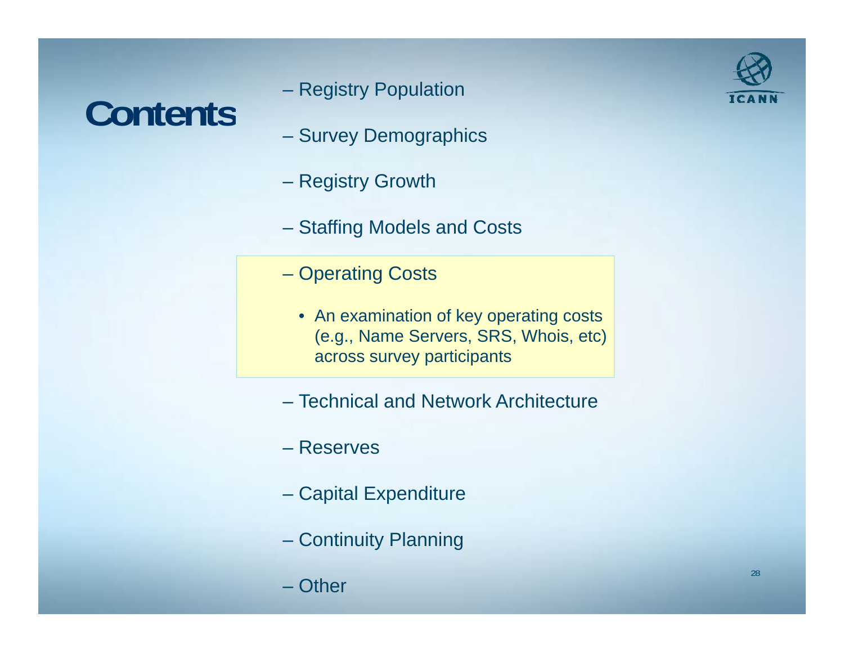### **Contents**

- Registry Population
- Survey Demographics
- Registry Growth
- Staffing Models and Costs
- Operating Costs
	- An examination of key operating costs (e.g., Name Servers, SRS, Whois, etc) across survey participants
- Technical and Network Architecture
- Reserves
- Capital Expenditure
- Continuity Planning
- Other

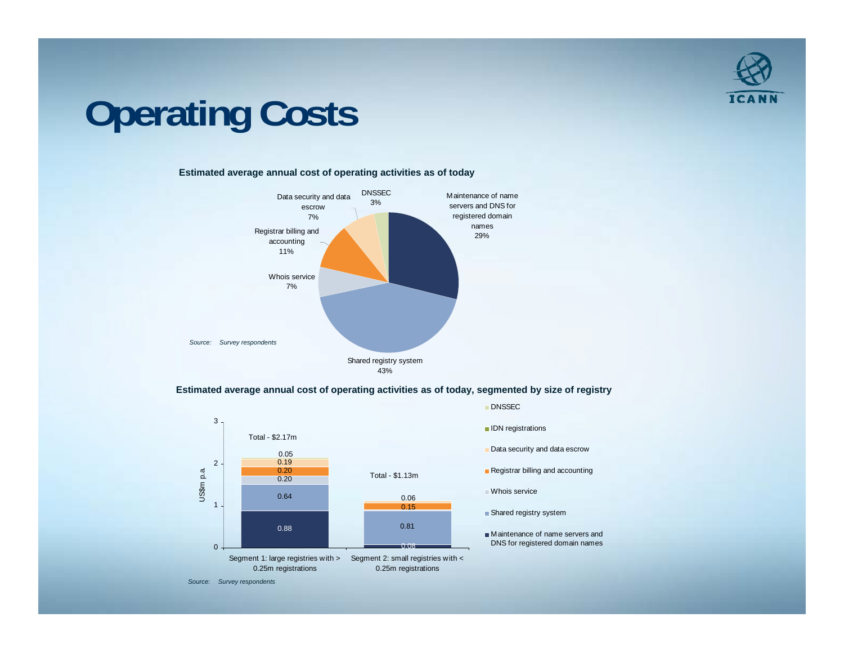

## **Operating Costs**

#### **Estimated average annual cost of operating activities as of today**



#### **Estimated average annual cost of operating activities as of today, segmented by size of registry**

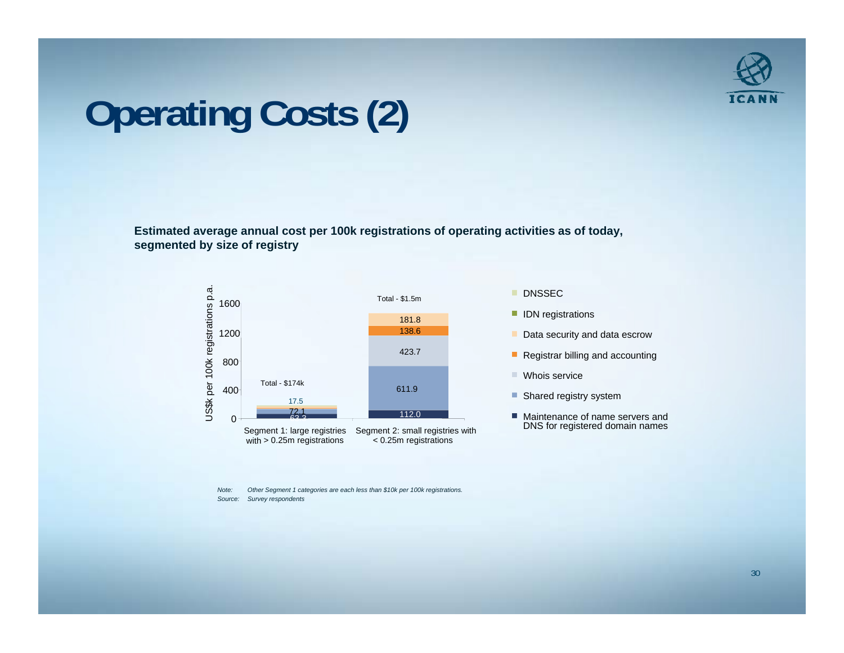

## **Operating Costs (2)**

**Estimated average annual cost per 100k registrations of operating activities as of today, segmented by size of registry**



- 
- 
- 
- 
- 
- DNS for registered domain names

*Note: Other Segment 1 categories are each less than \$10k per 100k registrations. Source: Survey respondents*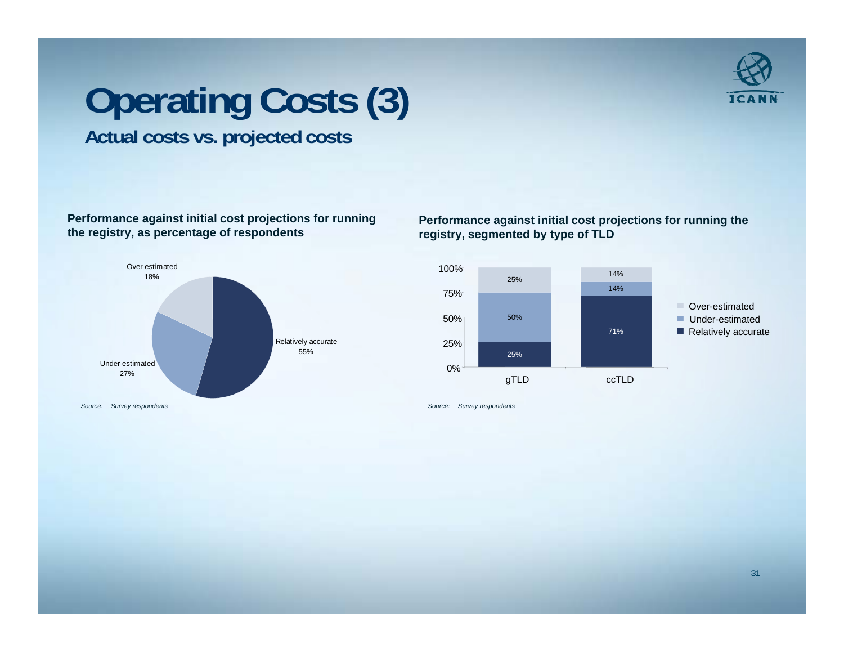

### **Operating Costs (3) Actual costs vs. projected costs**

### **Performance against initial cost projections for running the registry, as percentage of respondents**



#### **Performance against initial cost projections for running the registry, segmented by type of TLD**

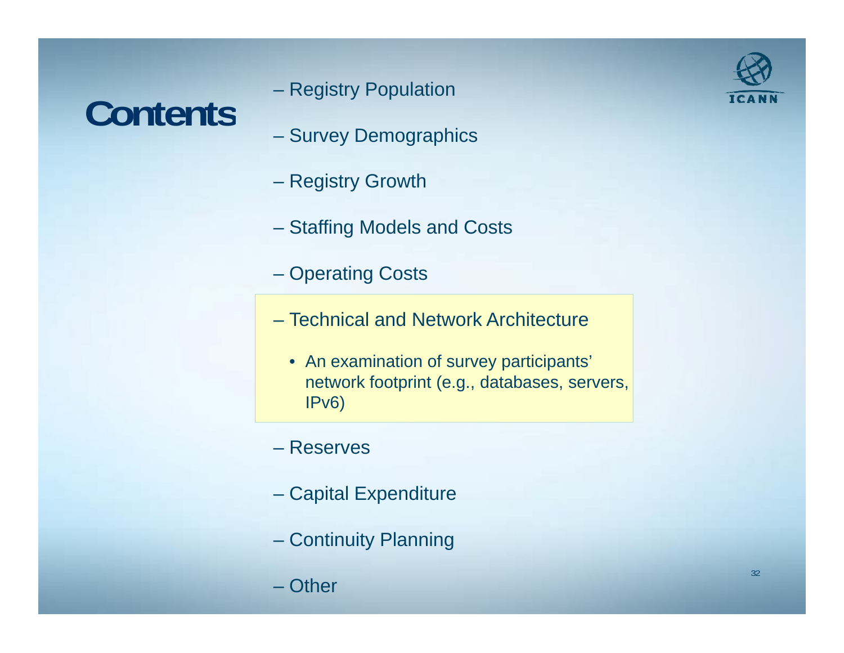## Registry Population **Contents**

- Registry Population
- Survey Demographics
- Registry Growth
- Staffing Models and Costs
- Operating Costs
- Technical and Network Architecture
	- $\bullet~$  An examination of survey participants' network footprint (e.g., databases, servers, IPv6)
- Reserves
- Capital Expenditure
- Continuity Planning
- Other

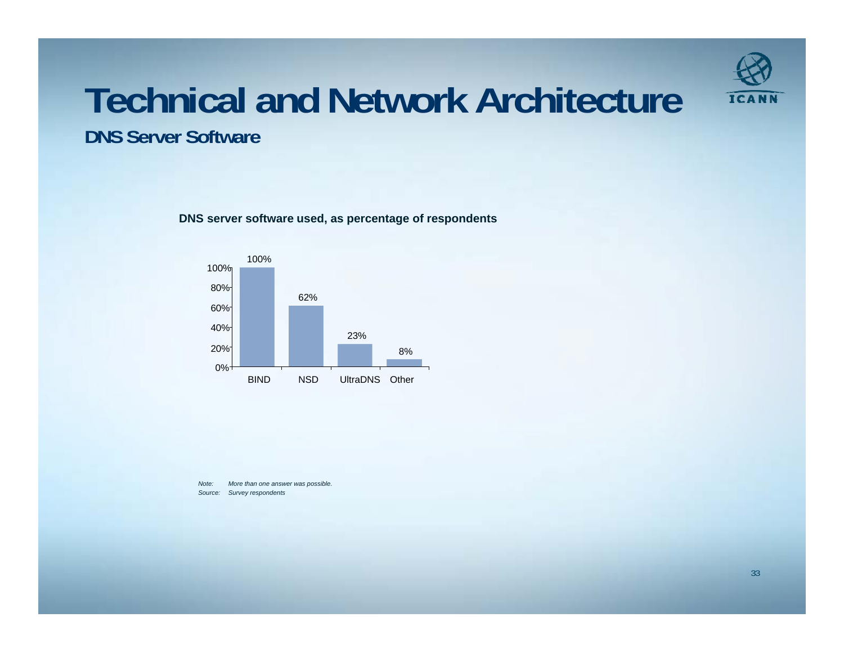

## **Technical and Network Architecture**

**DNS Server Software**

**DNS server software used, as percentage of respondents** 



*Note: More than one answer was possible. Source: Survey respondents*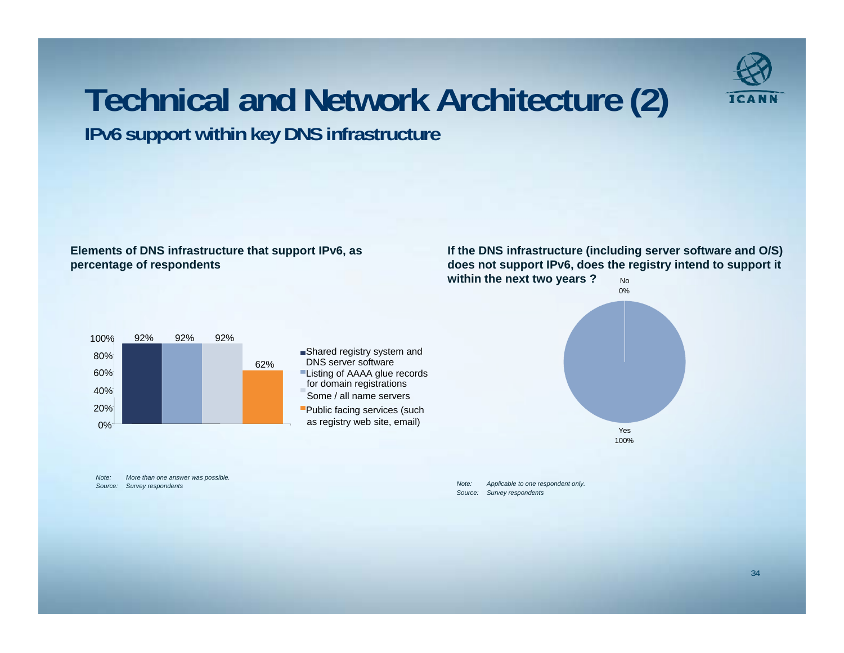

### **Technical and Network Architecture (2)**

**Elements of DNS infrastructure that support IPv6, as** 

#### **percentage of respondents**

No**If the DNS infrastructure (including server software and O/S) does not support IPv6, does the registry intend to support it within the next two years ?**



**IPv6 support within key DNS infrastructure**



*Note: More than one answer was possible. Source: Survey respondents*

*Note: Applicable to one respondent only. Source: Survey respondents*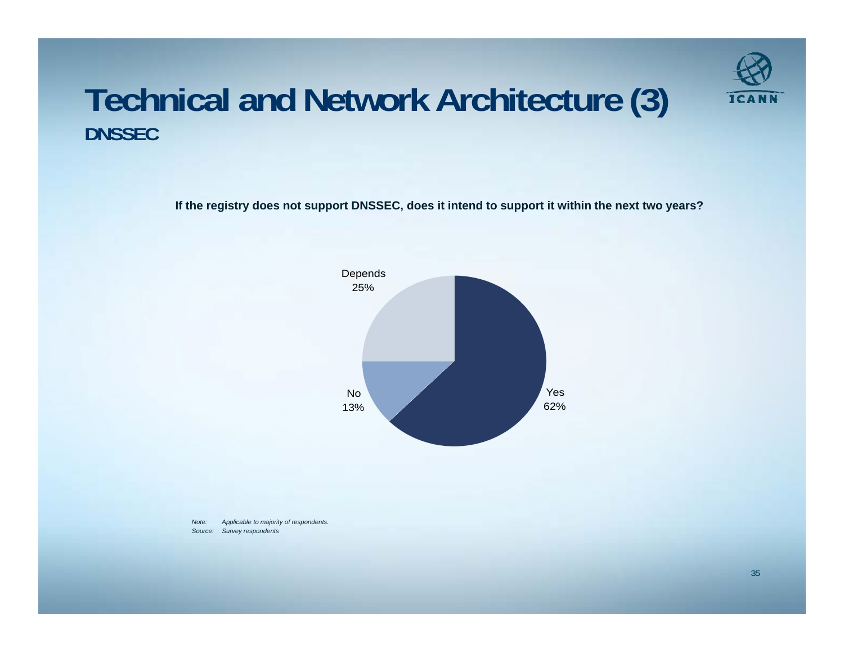

### **Technical and Network Architecture (3) DNSSEC**

If the registry does not support DNSSEC, does it intend to support it within the next two years?



*Note: Applicable to majority of respondents. Source: Survey respondents*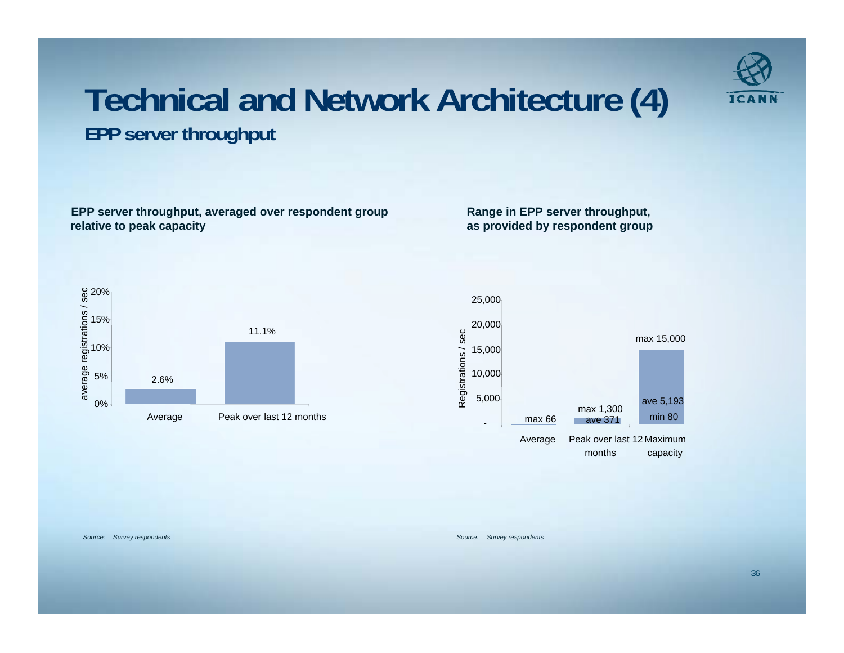

### **Technical and Network Architecture (4) EPP server throughput**

**EPP server throughput, averaged over respondent group relative to peak capacity**

**Range in EPP server throughput, as provided by respondent group**





*Source: Survey respondents Source: Survey respondents*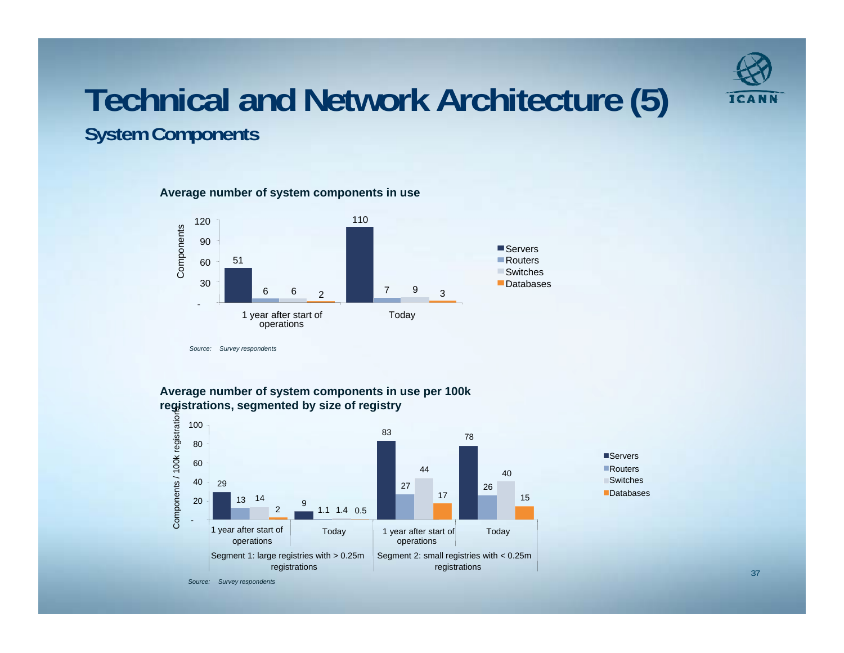

### **Technical and Network Architecture (5) System Components**

#### **Average number of system components in use**



**Average number of system components in use per 100k registrations, segmented by size of registry**



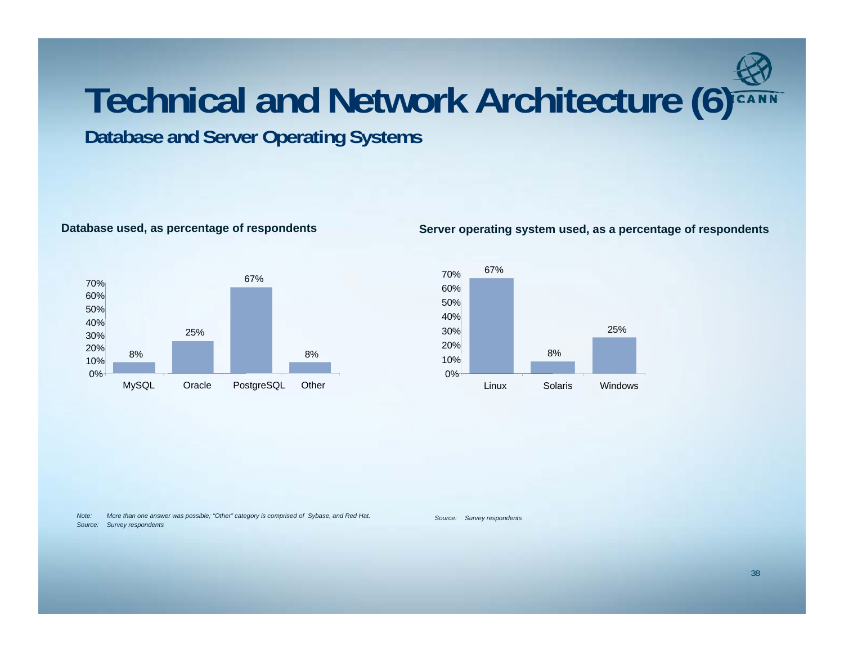## **Technical and Network Architecture ( ) 6**

**Database and Server Operating Systems** 



#### **Database used, as percentage of respondents Server operating system used, as a percentage of respondents**



*Source: Survey respondents Note: More than one answer was possible; "Other" category is comprised of Sybase, and Red Hat. Source: Survey respondents*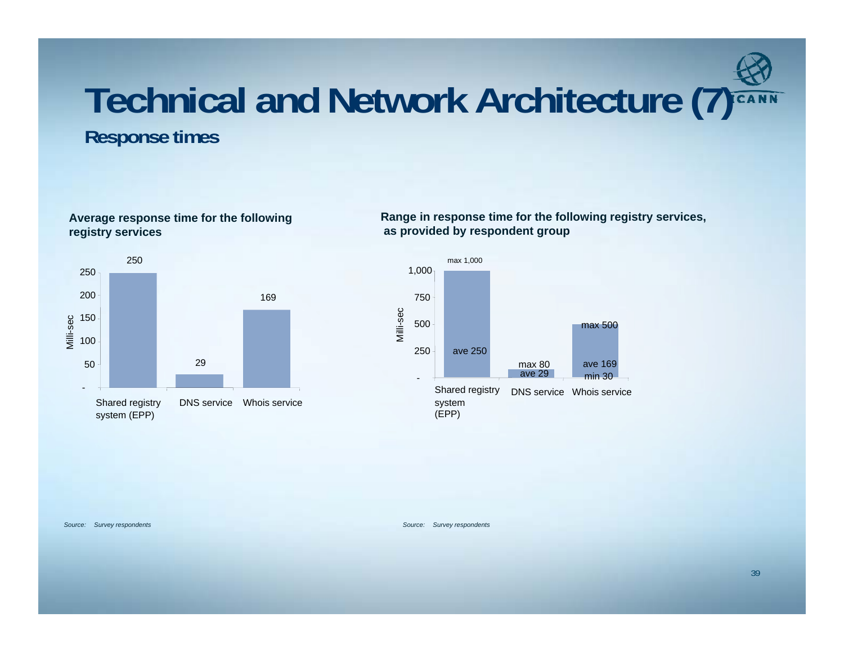### **Technical and Network Architecture ( ) 7 Response times**

**Average response time for the following** 



**Range in response time for the following registry services, as provided by respondent group**



#### *Source: Survey respondents Source: Survey respondents*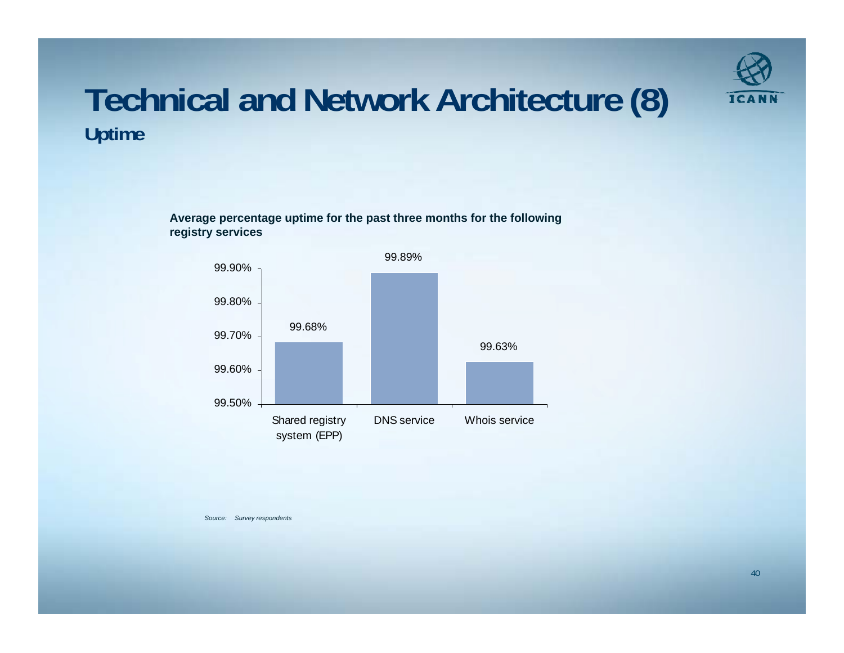

### **Technical and Network Architecture (8) Uptime**

**Average percentage uptime for the past three months for the following registry services** 



*Source: Survey respondents*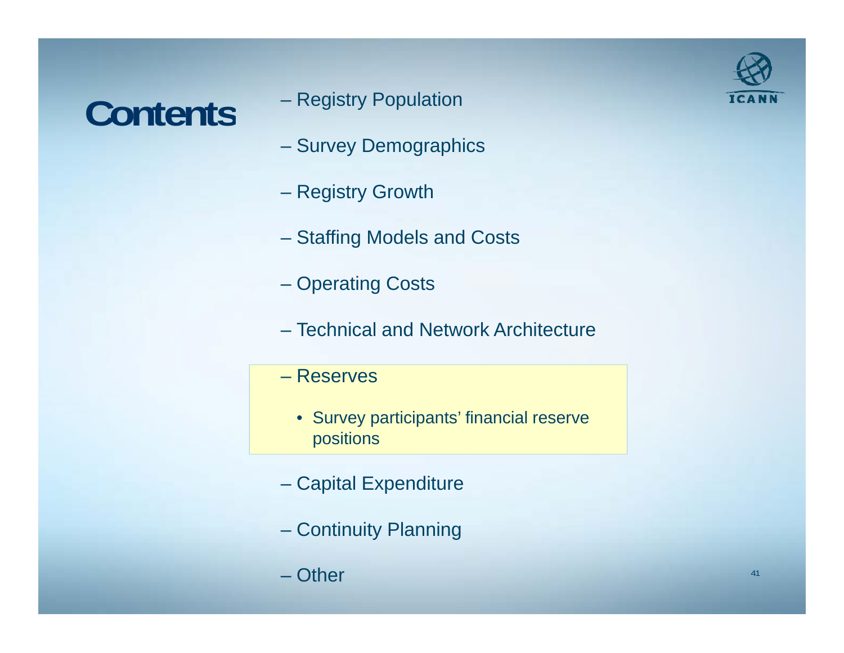### Contents <sup>- Registry Population</sup>

- Registry Population
- Survey Demographics
- Registry Growth
- Staffing Models and Costs
- Operating Costs
- Technical and Network Architecture
- Reserves
	- Survey participants' financial reserve positions
- Capital Expenditure
- Continuity Planning
- Other

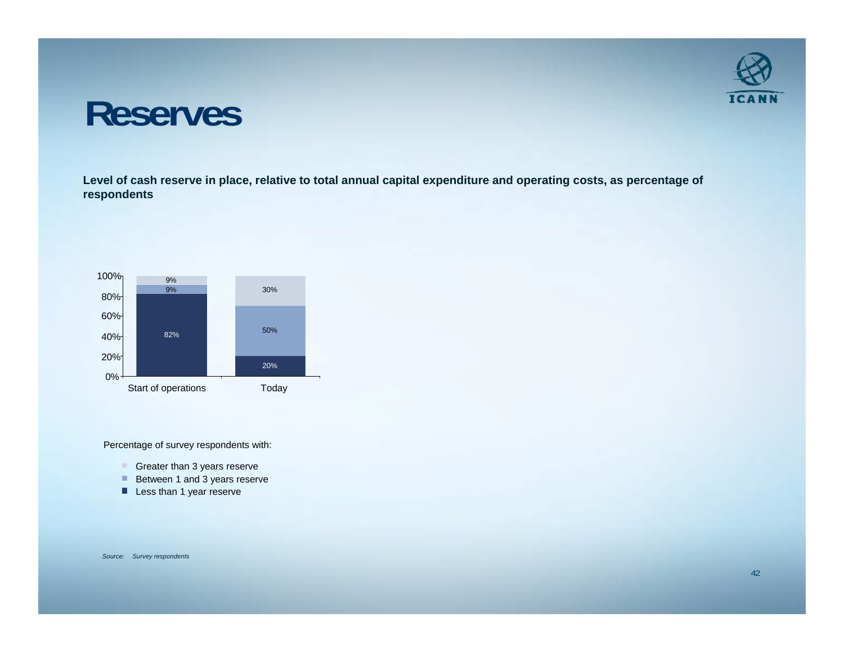### **Reserves**

**Level of cash reserve in place, relative to total annual capital expenditure and operating costs, as percentage of respondents**



Percentage of survey respondents with:

- Greater than 3 years reserve
- Between 1 and 3 years reserve
- Less than 1 year reserve

*Source: Survey respondents*

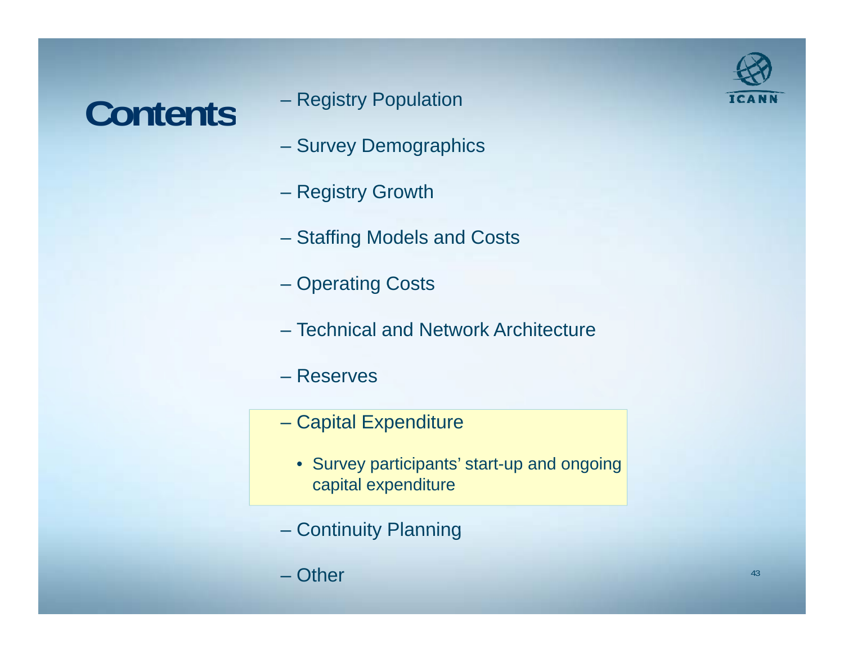### Contents <sup>- Registry Population</sup>

- Registry Population
- Survey Demographics
- Registry Growth
- Staffing Models and Costs
- Operating Costs
- Technical and Network Architecture
- Reserves
- Capital Expenditure
	- Survey participants' start-up and ongoing capital expenditure
- Continuity Planning
- Other

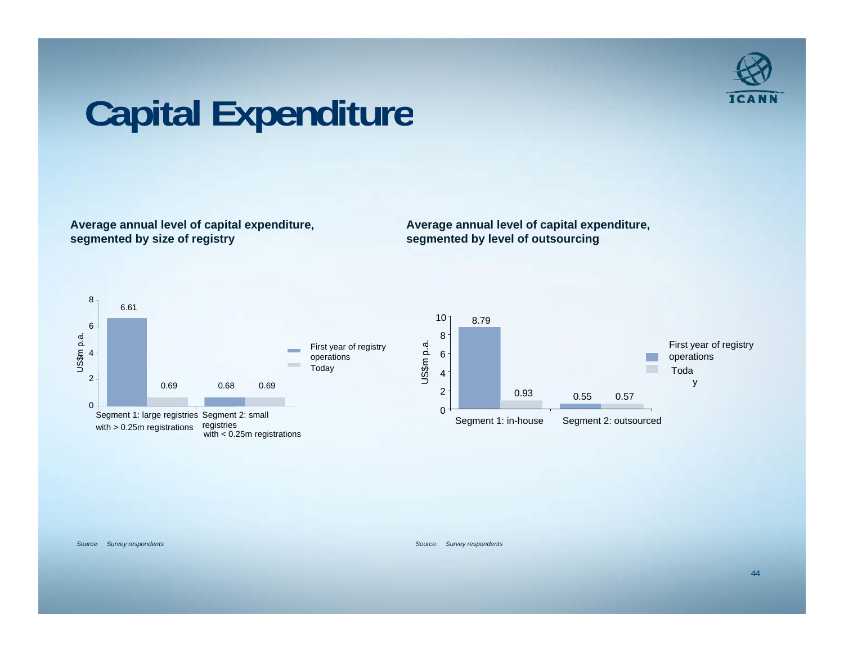

## **Capital Expenditure**

**Average annual level of capital expenditure, segmented by size of registry**

**Average annual level of capital expenditure, segmented by level of outsourcing**



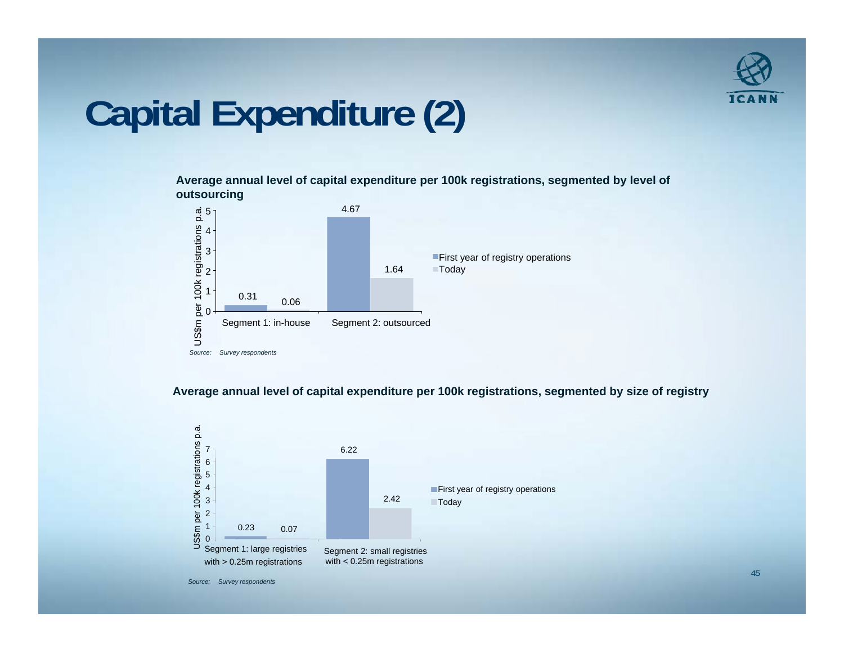

### **Capital Expenditure (2)**

**Average annual level of capital expenditure per 100k registrations, segmented by level of outsourcing**



**Average annual level of capital expenditure per 100k registrations, segmented by size of registry** 



*Source: Survey respondents*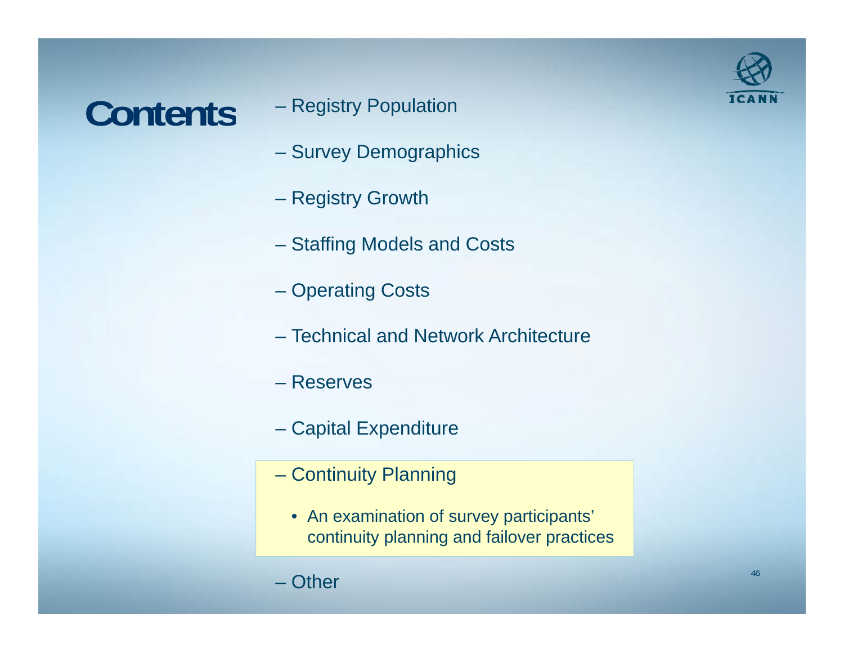### **Contents**

- Registry Population
- Survey Demographics
- Registry Growth
- Staffing Models and Costs
- Operating Costs
- Technical and Network Architecture
- Reserves
- Capital Expenditure
- Continuity Planning
	- An examination of survey participants' continuity planning and failover practices

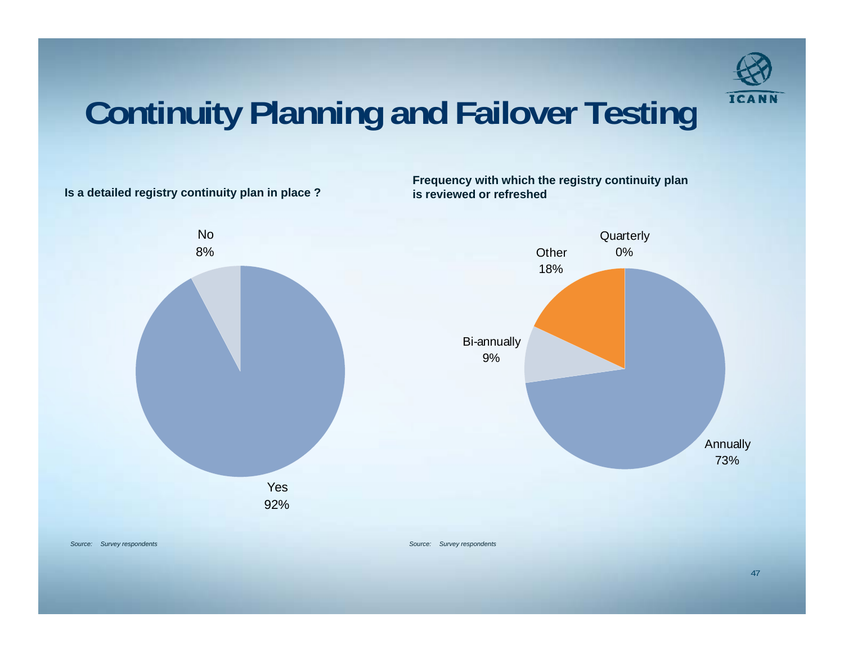

### **Continuity Planning and Failover Testing**



**Frequency with which the registry continuity plan**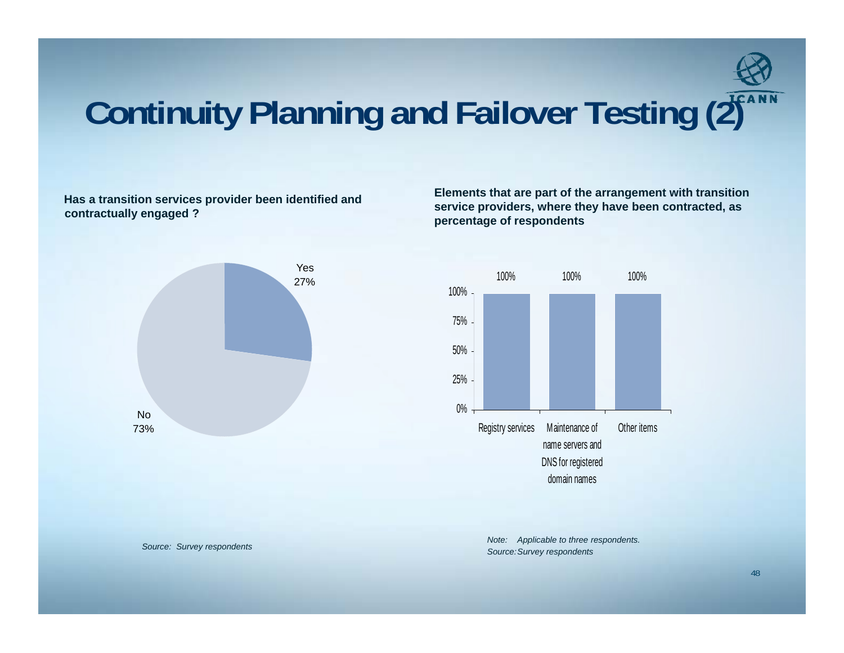

### **Continuity Planning and Failover Testing (2)**

contractually engaged ?



Has a transition services provider been identified and **Elements that are part of the arrangement** with transition<br>service providers, where thev have been contracted, as **here they have been contracte d, as percentage of respondents**



**Source: Survey respondents** *Source: Survey respondents. Source: Survey respondents.* **<b>***Source: Survey respondents.* 

48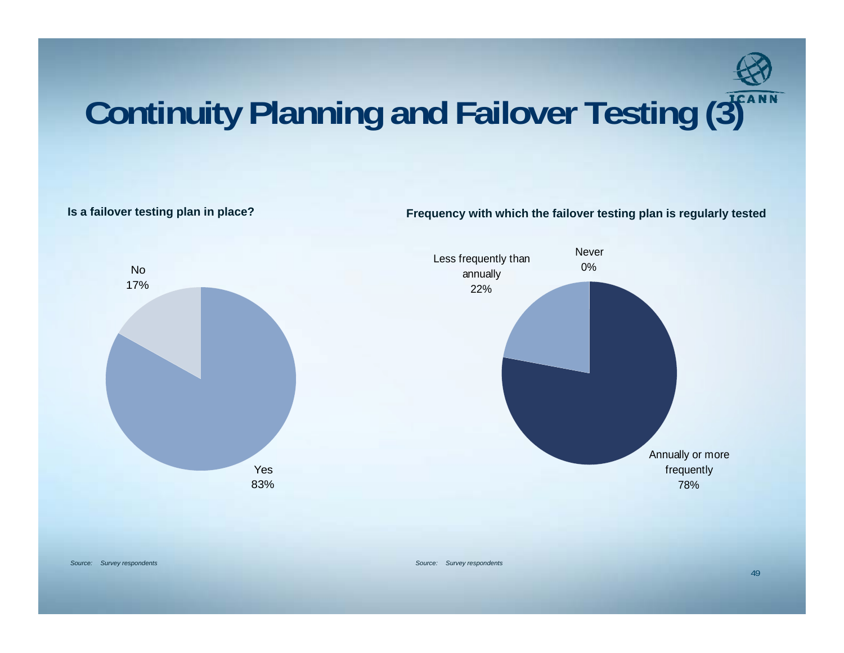

### **Continuity Planning and Failover Testing (3)**

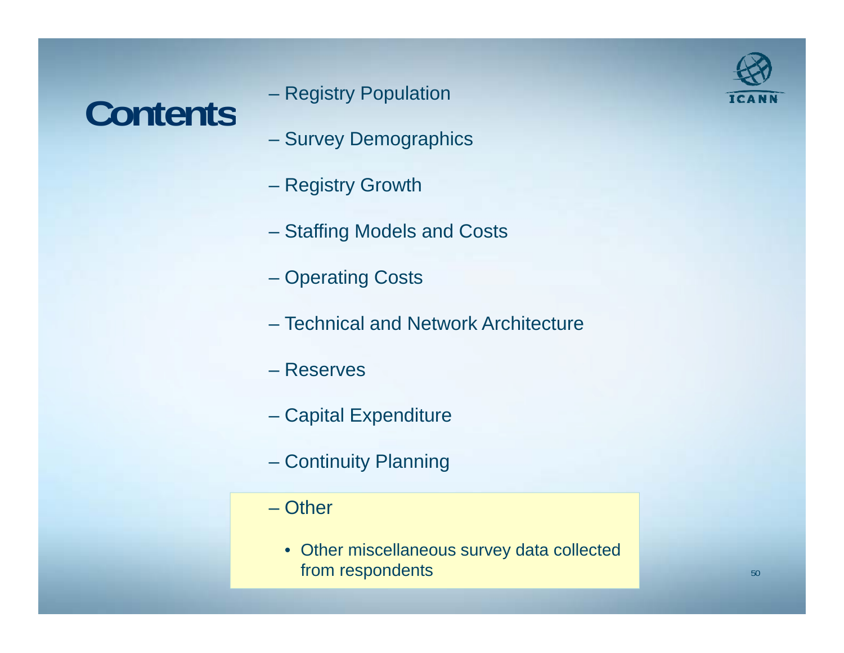## Contents <sup>- Registry Population</sup>

- Registry Population
- Survey Demographics
- Registry Growth
- Staffing Models and Costs
- Operating Costs
- Technical and Network Architecture
- Reserves
- Capital Expenditure
- Continuity Planning
- Other
	- Other miscellaneous survey data collected from respondents

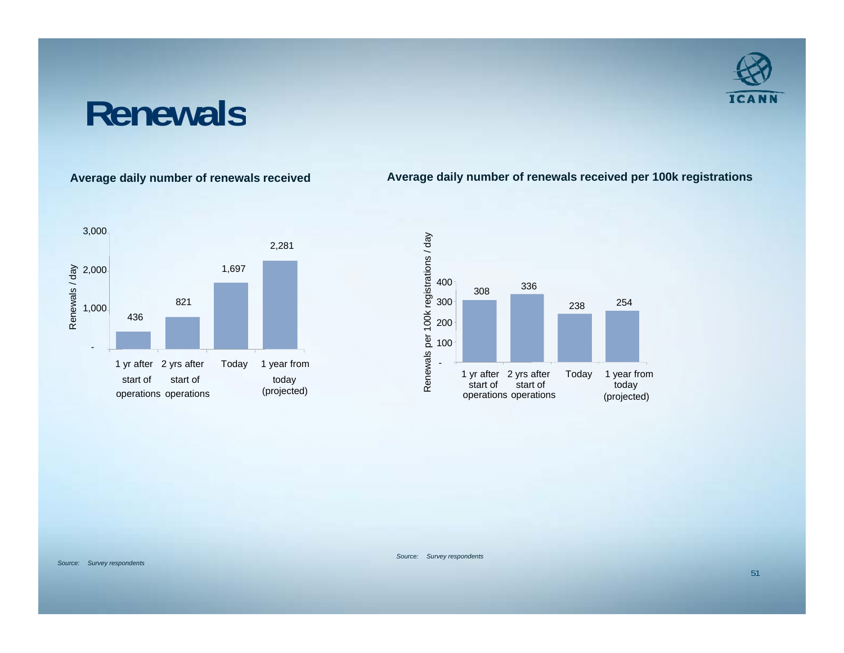### **Renewals**

**Average daily number of renewals received Average daily number of renewals received per 100k registrations**





*Source: Survey respondents*

*Source: Survey respondents*

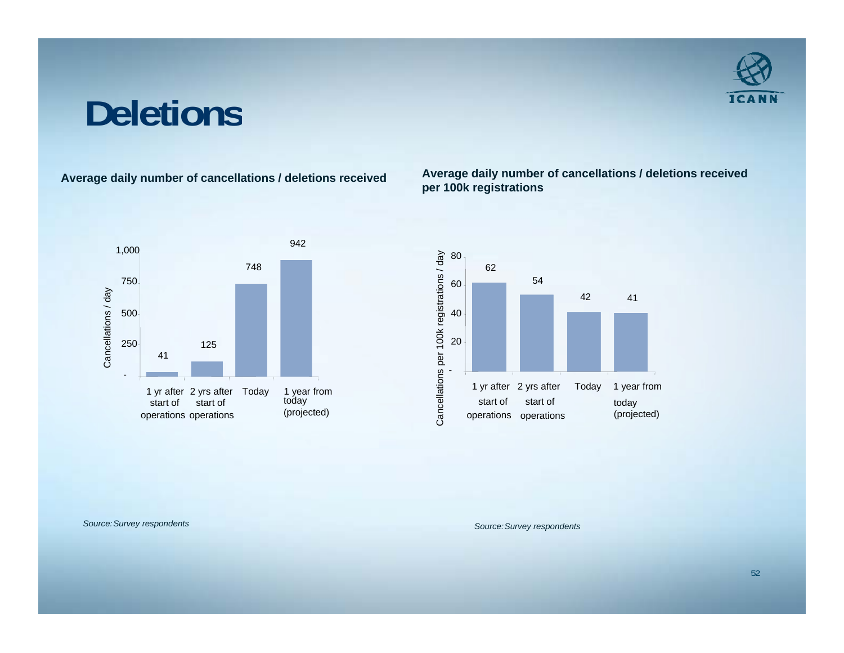### **Deletions**



**Average daily number of cancellations / deletions received Average daily number of cancellations / deletions received per 100k registrations**



*Source:Survey respondents Source:Survey respondents*

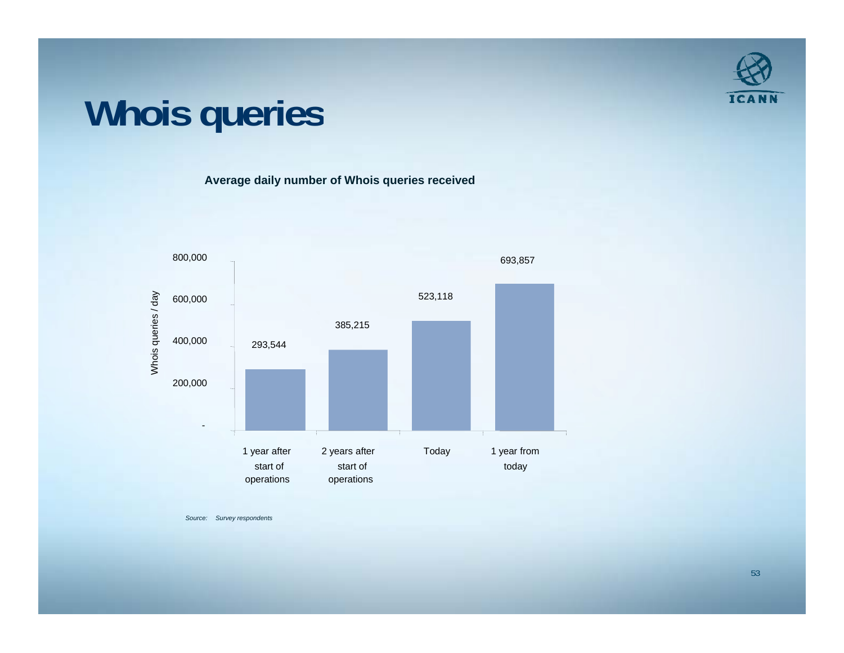

### **Whois queries**

**Average daily number of Whois queries received**



*Source: Survey respondents*

53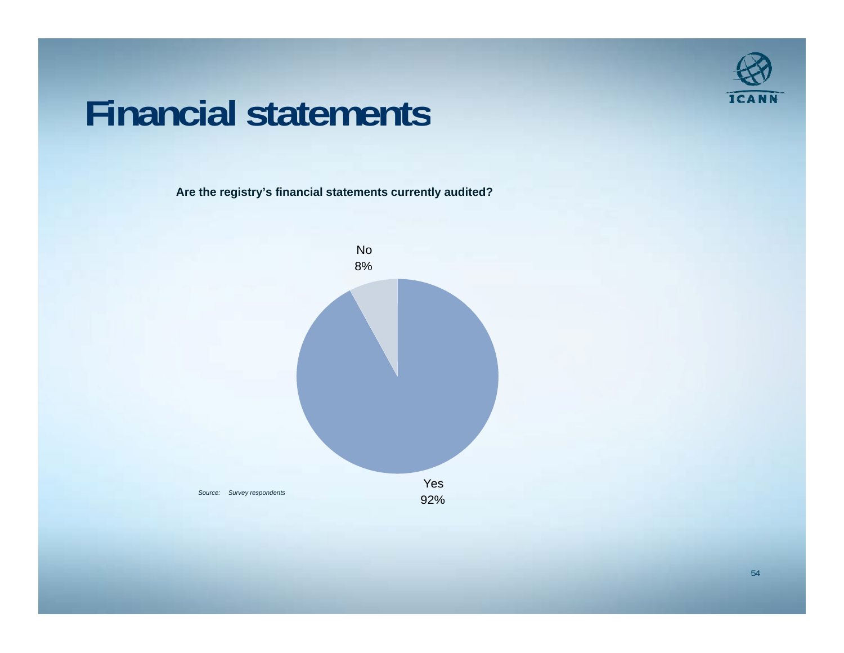

### **Financial statements**

**Are the registry's financial statements currently audited?**

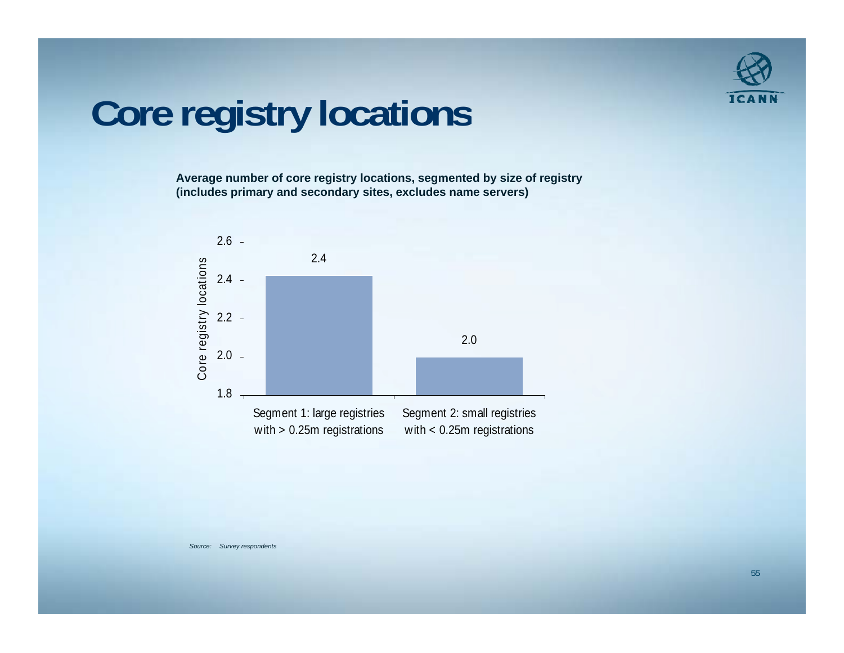

### **Core registry locations**

**Average number of core registry locations, segmented by size of registry (includes primary and secondary sites, excludes name servers)**

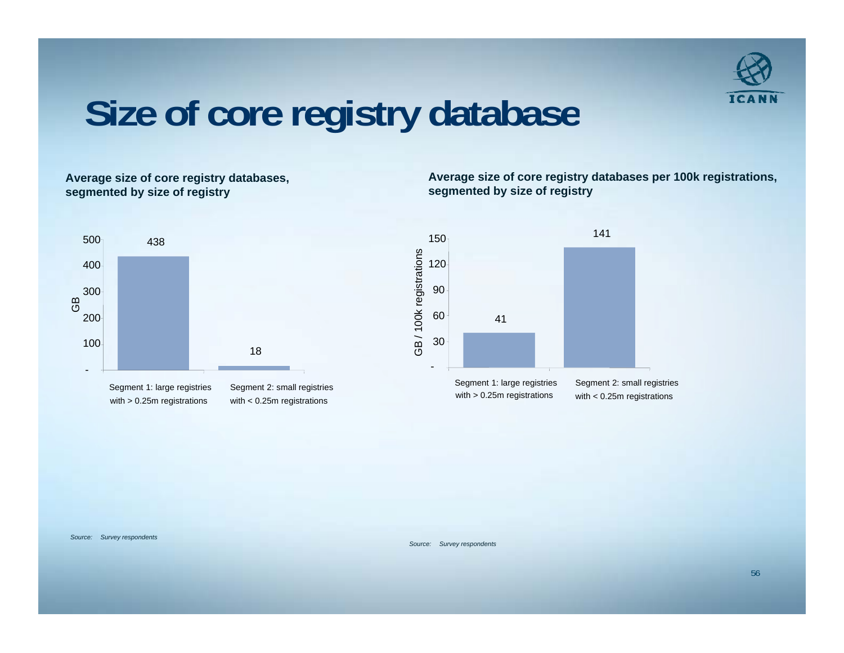

### **Size of core registry database**

**Average size of core registry databases, segmented by size of registry**

**Average size of core registry databases per 100k registrations, segmented by size of registry**



Segment 1: large registries with > 0.25m registrations

Segment 2: small registries with < 0.25m registrations



*Source: Survey respondents*

*Source: Survey respondents*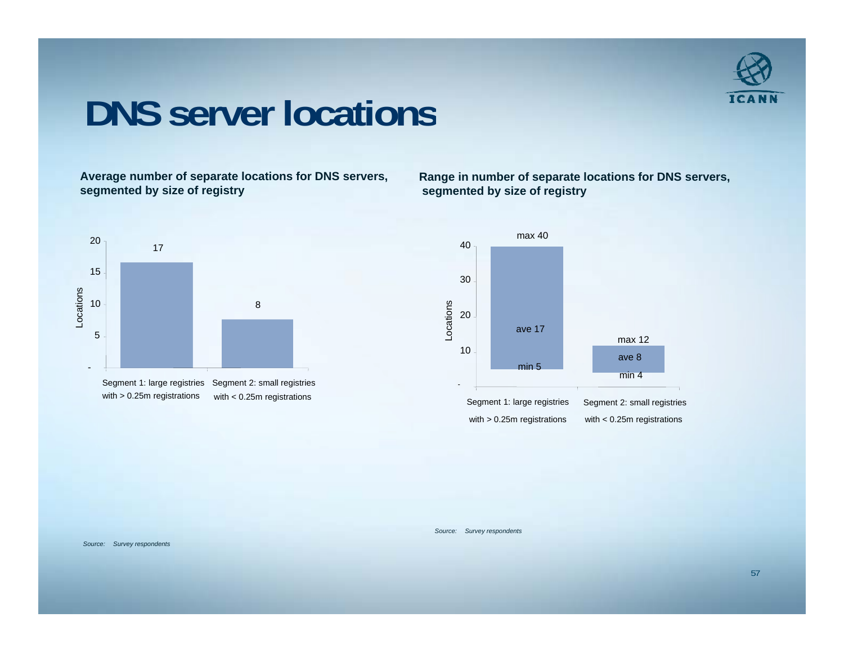

### **DNS server locations**

**Average number of separate locations for DNS servers, segmented by size of registry**

**Range in number of separate locations for DNS servers, segmented by size of registry**





*Source: Survey respondents*

*Source: Survey respondents*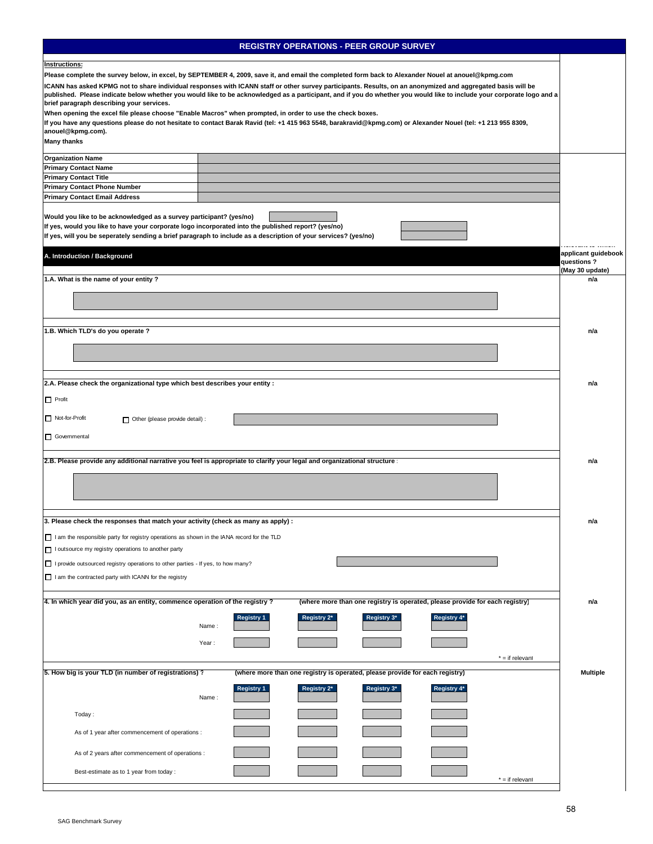|                                                                                                     | <b>REGISTRY OPERATIONS - PEER GROUP SURVEY</b>                                                                                                                         |                                   |
|-----------------------------------------------------------------------------------------------------|------------------------------------------------------------------------------------------------------------------------------------------------------------------------|-----------------------------------|
| Instructions:                                                                                       |                                                                                                                                                                        |                                   |
|                                                                                                     | Please complete the survey below, in excel, by SEPTEMBER 4, 2009, save it, and email the completed form back to Alexander Nouel at anouel@kpmg.com                     |                                   |
|                                                                                                     | ICANN has asked KPMG not to share individual responses with ICANN staff or other survey participants. Results, on an anonymized and aggregated basis will be           |                                   |
|                                                                                                     | published. Please indicate below whether you would like to be acknowledged as a participant, and if you do whether you would like to include your corporate logo and a |                                   |
| brief paragraph describing your services.                                                           |                                                                                                                                                                        |                                   |
|                                                                                                     | When opening the excel file please choose "Enable Macros" when prompted, in order to use the check boxes.                                                              |                                   |
| anouel@kpmg.com).                                                                                   | If you have any questions please do not hesitate to contact Barak Ravid (tel: +1 415 963 5548, barakravid@kpmg.com) or Alexander Nouel (tel: +1 213 955 8309,          |                                   |
| <b>Many thanks</b>                                                                                  |                                                                                                                                                                        |                                   |
| <b>Organization Name</b>                                                                            |                                                                                                                                                                        |                                   |
| <b>Primary Contact Name</b>                                                                         |                                                                                                                                                                        |                                   |
| <b>Primary Contact Title</b>                                                                        |                                                                                                                                                                        |                                   |
| <b>Primary Contact Phone Number</b>                                                                 |                                                                                                                                                                        |                                   |
| <b>Primary Contact Email Address</b>                                                                |                                                                                                                                                                        |                                   |
| Would you like to be acknowledged as a survey participant? (yes/no)                                 |                                                                                                                                                                        |                                   |
| If yes, would you like to have your corporate logo incorporated into the published report? (yes/no) |                                                                                                                                                                        |                                   |
|                                                                                                     | If yes, will you be seperately sending a brief paragraph to include as a description of your services? (yes/no)                                                        |                                   |
|                                                                                                     |                                                                                                                                                                        |                                   |
| A. Introduction / Background                                                                        |                                                                                                                                                                        | applicant guidebook<br>questions? |
|                                                                                                     |                                                                                                                                                                        | (May 30 update)                   |
| 1.A. What is the name of your entity ?                                                              |                                                                                                                                                                        | n/a                               |
|                                                                                                     |                                                                                                                                                                        |                                   |
|                                                                                                     |                                                                                                                                                                        |                                   |
|                                                                                                     |                                                                                                                                                                        |                                   |
| 1.B. Which TLD's do you operate ?                                                                   |                                                                                                                                                                        | n/a                               |
|                                                                                                     |                                                                                                                                                                        |                                   |
|                                                                                                     |                                                                                                                                                                        |                                   |
|                                                                                                     |                                                                                                                                                                        |                                   |
|                                                                                                     |                                                                                                                                                                        |                                   |
| 2.A. Please check the organizational type which best describes your entity :                        |                                                                                                                                                                        | n/a                               |
| $\Box$ Profit                                                                                       |                                                                                                                                                                        |                                   |
|                                                                                                     |                                                                                                                                                                        |                                   |
| Not-for-Profit<br>Other (please provide detail) :                                                   |                                                                                                                                                                        |                                   |
| Governmental                                                                                        |                                                                                                                                                                        |                                   |
|                                                                                                     |                                                                                                                                                                        |                                   |
|                                                                                                     | 2.B. Please provide any additional narrative you feel is appropriate to clarify your legal and organizational structure                                                | n/a                               |
|                                                                                                     |                                                                                                                                                                        |                                   |
|                                                                                                     |                                                                                                                                                                        |                                   |
|                                                                                                     |                                                                                                                                                                        |                                   |
|                                                                                                     |                                                                                                                                                                        |                                   |
| 3. Please check the responses that match your activity (check as many as apply) :                   |                                                                                                                                                                        | n/a                               |
|                                                                                                     |                                                                                                                                                                        |                                   |
| I am the responsible party for registry operations as shown in the IANA record for the TLD          |                                                                                                                                                                        |                                   |
| I utsource my registry operations to another party                                                  |                                                                                                                                                                        |                                   |
| I provide outsourced registry operations to other parties - If yes, to how many?                    |                                                                                                                                                                        |                                   |
| I am the contracted party with ICANN for the registry                                               |                                                                                                                                                                        |                                   |
|                                                                                                     |                                                                                                                                                                        |                                   |
| 4. In which year did you, as an entity, commence operation of the registry?                         | (where more than one registry is operated, please provide for each registry)                                                                                           | n/a                               |
|                                                                                                     | <b>Registry 1</b><br>Registry 2*<br>Registry 3*<br>Registry 4*                                                                                                         |                                   |
|                                                                                                     | Name:                                                                                                                                                                  |                                   |
|                                                                                                     |                                                                                                                                                                        |                                   |
|                                                                                                     | Year:                                                                                                                                                                  |                                   |
|                                                                                                     | $* =$ if relevant                                                                                                                                                      |                                   |
| 5. How big is your TLD (in number of registrations)?                                                | (where more than one registry is operated, please provide for each registry)                                                                                           | <b>Multiple</b>                   |
|                                                                                                     | <b>Registry 1</b><br>Registry 2*<br>Registry 3*<br>Registry 4*                                                                                                         |                                   |
|                                                                                                     | Name:                                                                                                                                                                  |                                   |
|                                                                                                     |                                                                                                                                                                        |                                   |
| Today:                                                                                              |                                                                                                                                                                        |                                   |
| As of 1 year after commencement of operations :                                                     |                                                                                                                                                                        |                                   |
|                                                                                                     |                                                                                                                                                                        |                                   |
| As of 2 years after commencement of operations :                                                    |                                                                                                                                                                        |                                   |
|                                                                                                     |                                                                                                                                                                        |                                   |
| Best-estimate as to 1 year from today :                                                             | $* =$ if relevant                                                                                                                                                      |                                   |
|                                                                                                     |                                                                                                                                                                        |                                   |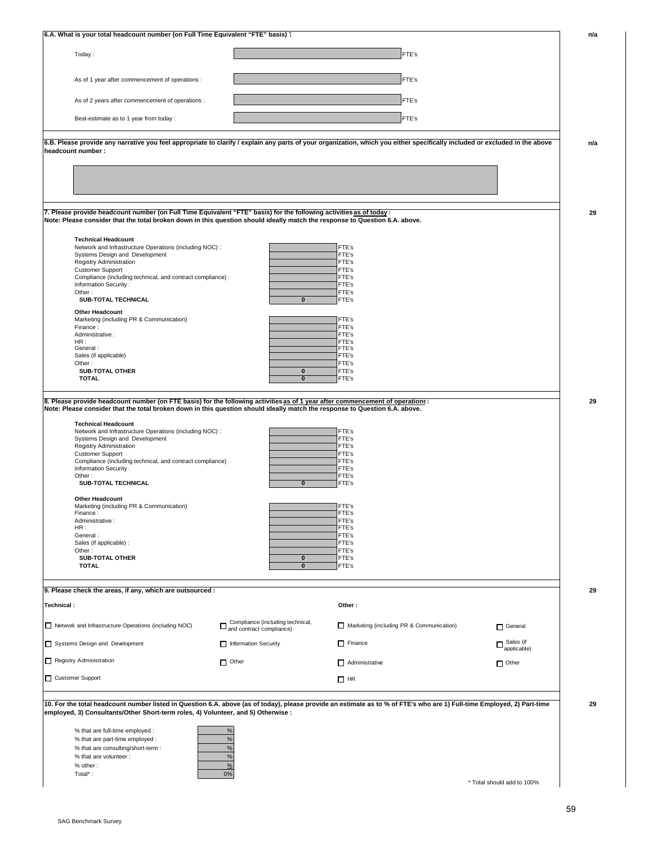| Today:                                                                                                                                                                                                                                                                                                                                                                                                                                                                            |                                                                                                                              |                                          |                              |
|-----------------------------------------------------------------------------------------------------------------------------------------------------------------------------------------------------------------------------------------------------------------------------------------------------------------------------------------------------------------------------------------------------------------------------------------------------------------------------------|------------------------------------------------------------------------------------------------------------------------------|------------------------------------------|------------------------------|
|                                                                                                                                                                                                                                                                                                                                                                                                                                                                                   |                                                                                                                              | FTE's                                    |                              |
| As of 1 year after commencement of operations :                                                                                                                                                                                                                                                                                                                                                                                                                                   |                                                                                                                              | FTE's                                    |                              |
| As of 2 years after commencement of operations :                                                                                                                                                                                                                                                                                                                                                                                                                                  |                                                                                                                              | FTE's                                    |                              |
| Best-estimate as to 1 year from today :                                                                                                                                                                                                                                                                                                                                                                                                                                           |                                                                                                                              | FTE's                                    |                              |
|                                                                                                                                                                                                                                                                                                                                                                                                                                                                                   |                                                                                                                              |                                          |                              |
| 6.B. Please provide any narrative you feel appropriate to clarify / explain any parts of your organization, which you either specifically included or excluded in the above                                                                                                                                                                                                                                                                                                       |                                                                                                                              |                                          |                              |
| headcount number :                                                                                                                                                                                                                                                                                                                                                                                                                                                                |                                                                                                                              |                                          |                              |
|                                                                                                                                                                                                                                                                                                                                                                                                                                                                                   |                                                                                                                              |                                          |                              |
|                                                                                                                                                                                                                                                                                                                                                                                                                                                                                   |                                                                                                                              |                                          |                              |
|                                                                                                                                                                                                                                                                                                                                                                                                                                                                                   |                                                                                                                              |                                          |                              |
| 7. Please provide headcount number (on Full Time Equivalent "FTE" basis) for the following activities as of today:<br>Note: Please consider that the total broken down in this question should ideally match the response to Question 6.A. above.                                                                                                                                                                                                                                 |                                                                                                                              |                                          |                              |
|                                                                                                                                                                                                                                                                                                                                                                                                                                                                                   |                                                                                                                              |                                          |                              |
| <b>Technical Headcount</b><br>Network and Infrastructure Operations (including NOC) :                                                                                                                                                                                                                                                                                                                                                                                             |                                                                                                                              | FTE's                                    |                              |
| Systems Design and Development<br>Registry Administration                                                                                                                                                                                                                                                                                                                                                                                                                         |                                                                                                                              | FTE's<br>FTE's                           |                              |
| <b>Customer Support</b>                                                                                                                                                                                                                                                                                                                                                                                                                                                           |                                                                                                                              | FTE's                                    |                              |
| Compliance (including technical, and contract compliance) :                                                                                                                                                                                                                                                                                                                                                                                                                       |                                                                                                                              | FTE's                                    |                              |
| Information Security:<br>Other:                                                                                                                                                                                                                                                                                                                                                                                                                                                   |                                                                                                                              | FTE's<br>FTE's                           |                              |
| SUB-TOTAL TECHNICAL                                                                                                                                                                                                                                                                                                                                                                                                                                                               | $\mathbf 0$                                                                                                                  | FTE's                                    |                              |
| <b>Other Headcount</b>                                                                                                                                                                                                                                                                                                                                                                                                                                                            |                                                                                                                              |                                          |                              |
| Marketing (including PR & Communication)                                                                                                                                                                                                                                                                                                                                                                                                                                          |                                                                                                                              | FTE's                                    |                              |
| Finance:<br>Administrative:                                                                                                                                                                                                                                                                                                                                                                                                                                                       |                                                                                                                              | FTE's<br>FTE's                           |                              |
| HR:                                                                                                                                                                                                                                                                                                                                                                                                                                                                               |                                                                                                                              | FTE's                                    |                              |
| General:<br>Sales (if applicable)                                                                                                                                                                                                                                                                                                                                                                                                                                                 |                                                                                                                              | FTE's<br>FTE's                           |                              |
| Other:                                                                                                                                                                                                                                                                                                                                                                                                                                                                            |                                                                                                                              | FTE's                                    |                              |
| <b>SUB-TOTAL OTHER</b><br><b>TOTAL</b>                                                                                                                                                                                                                                                                                                                                                                                                                                            | $\pmb{0}$<br>$\overline{\mathbf{0}}$                                                                                         | FTE's<br>FTE's                           |                              |
| 8. Please provide headcount number (on FTE basis) for the following activities as of 1 year after commencement of operations:<br>Note: Please consider that the total broken down in this question should ideally match the response to Question 6.A. above.                                                                                                                                                                                                                      |                                                                                                                              |                                          |                              |
| <b>Technical Headcount</b>                                                                                                                                                                                                                                                                                                                                                                                                                                                        |                                                                                                                              |                                          |                              |
| Network and Infrastructure Operations (including NOC) :                                                                                                                                                                                                                                                                                                                                                                                                                           |                                                                                                                              | FTE's                                    |                              |
| Systems Design and Development<br><b>Registry Administration</b>                                                                                                                                                                                                                                                                                                                                                                                                                  |                                                                                                                              | FTE's<br>FTE's                           |                              |
| <b>Customer Support</b>                                                                                                                                                                                                                                                                                                                                                                                                                                                           |                                                                                                                              | FTE's                                    |                              |
| Compliance (including technical, and contract compliance)                                                                                                                                                                                                                                                                                                                                                                                                                         |                                                                                                                              | FTE's                                    |                              |
| Information Security:<br>Other:                                                                                                                                                                                                                                                                                                                                                                                                                                                   |                                                                                                                              | FTE's<br>FTE's                           |                              |
| SUB-TOTAL TECHNICAL                                                                                                                                                                                                                                                                                                                                                                                                                                                               | $\mathbf 0$                                                                                                                  | FTE's                                    |                              |
| <b>Other Headcount</b>                                                                                                                                                                                                                                                                                                                                                                                                                                                            |                                                                                                                              |                                          |                              |
|                                                                                                                                                                                                                                                                                                                                                                                                                                                                                   |                                                                                                                              | FTE's                                    |                              |
| Marketing (including PR & Communication)                                                                                                                                                                                                                                                                                                                                                                                                                                          |                                                                                                                              | FTE's<br>FTE's                           |                              |
| Finance:                                                                                                                                                                                                                                                                                                                                                                                                                                                                          |                                                                                                                              |                                          |                              |
| Administrative:<br>HR:                                                                                                                                                                                                                                                                                                                                                                                                                                                            |                                                                                                                              | FTE's                                    |                              |
| General:                                                                                                                                                                                                                                                                                                                                                                                                                                                                          |                                                                                                                              | FTE's                                    |                              |
| Sales (if applicable) :<br>Other:                                                                                                                                                                                                                                                                                                                                                                                                                                                 |                                                                                                                              | FTE's<br>FTE's                           |                              |
| <b>SUB-TOTAL OTHER</b>                                                                                                                                                                                                                                                                                                                                                                                                                                                            | $\pmb{0}$                                                                                                                    | FTE's                                    |                              |
| <b>TOTAL</b>                                                                                                                                                                                                                                                                                                                                                                                                                                                                      | $\pmb{0}$                                                                                                                    | FTE's                                    |                              |
|                                                                                                                                                                                                                                                                                                                                                                                                                                                                                   |                                                                                                                              |                                          |                              |
|                                                                                                                                                                                                                                                                                                                                                                                                                                                                                   |                                                                                                                              | Other:                                   |                              |
|                                                                                                                                                                                                                                                                                                                                                                                                                                                                                   |                                                                                                                              | Marketing (including PR & Communication) |                              |
|                                                                                                                                                                                                                                                                                                                                                                                                                                                                                   | $\fbox{\parbox{1.5cm}{\fbox{1.5cm}}\hbox{Compliance (including technical, and contract compliance)}$<br>Information Security | $\Box$ Finance                           | General                      |
|                                                                                                                                                                                                                                                                                                                                                                                                                                                                                   |                                                                                                                              |                                          | $\Box$ Sales (if applicable) |
|                                                                                                                                                                                                                                                                                                                                                                                                                                                                                   | $\Box$ Other                                                                                                                 | Administrative                           | $\Box$ Other                 |
|                                                                                                                                                                                                                                                                                                                                                                                                                                                                                   |                                                                                                                              | $\Box$ HR                                |                              |
|                                                                                                                                                                                                                                                                                                                                                                                                                                                                                   |                                                                                                                              |                                          |                              |
| 9. Please check the areas, if any, which are outsourced :<br>Technical:<br>Network and Infrastructure Operations (including NOC)<br>Systems Design and Development<br>Registry Administration<br>Customer Support<br>10. For the total headcount number listed in Question 6.A. above (as of today), please provide an estimate as to % of FTE's who are 1) Full-time Employed, 2) Part-time<br>employed, 3) Consultants/Other Short-term roles, 4) Volunteer, and 5) Otherwise : |                                                                                                                              |                                          |                              |
|                                                                                                                                                                                                                                                                                                                                                                                                                                                                                   |                                                                                                                              |                                          |                              |
| % that are full-time employed :                                                                                                                                                                                                                                                                                                                                                                                                                                                   | %                                                                                                                            |                                          |                              |
| % that are part-time employed :<br>% that are consulting/short-term :                                                                                                                                                                                                                                                                                                                                                                                                             | %<br>$\%$                                                                                                                    |                                          |                              |
| % that are volunteer :                                                                                                                                                                                                                                                                                                                                                                                                                                                            | $\%$                                                                                                                         |                                          |                              |
| % other:<br>Total*:                                                                                                                                                                                                                                                                                                                                                                                                                                                               | $\frac{9}{6}$<br>0%                                                                                                          |                                          |                              |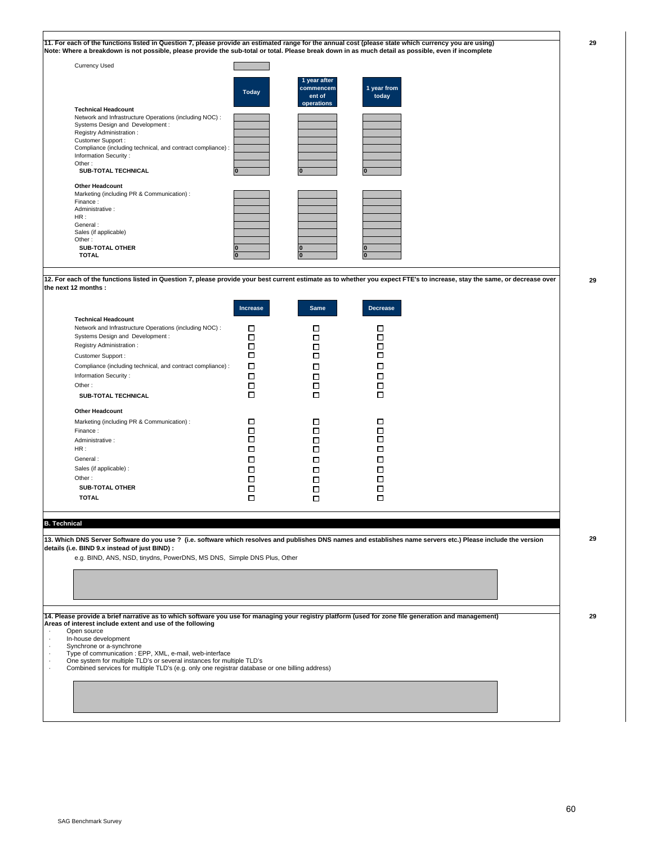| <b>Currency Used</b>                                        |              |                                                   |                      |
|-------------------------------------------------------------|--------------|---------------------------------------------------|----------------------|
|                                                             | <b>Today</b> | 1 year after<br>commencem<br>ent of<br>operations | 1 year from<br>today |
| <b>Technical Headcount</b>                                  |              |                                                   |                      |
| Network and Infrastructure Operations (including NOC) :     |              |                                                   |                      |
| Systems Design and Development :                            |              |                                                   |                      |
| Registry Administration:                                    |              |                                                   |                      |
| Customer Support:                                           |              |                                                   |                      |
| Compliance (including technical, and contract compliance) : |              |                                                   |                      |
| Information Security:                                       |              |                                                   |                      |
| Other:                                                      |              |                                                   |                      |
| <b>SUB-TOTAL TECHNICAL</b>                                  |              |                                                   |                      |
| <b>Other Headcount</b>                                      |              |                                                   |                      |
| Marketing (including PR & Communication) :                  |              |                                                   |                      |
| Finance:                                                    |              |                                                   |                      |
| Administrative:                                             |              |                                                   |                      |
| HR:                                                         |              |                                                   |                      |
| General:                                                    |              |                                                   |                      |
| Sales (if applicable)                                       |              |                                                   |                      |
| Other:                                                      |              |                                                   |                      |

**12. For each of the functions listed in Question 7, please provide your best current estimate as to whether you expect FTE's to increase, stay the same, or decrease over the next 12 months :**

|                                                                                                                                                                                                                                                                                                             | <b>Increase</b>                      | <b>Same</b>                     | <b>Decrease</b> |
|-------------------------------------------------------------------------------------------------------------------------------------------------------------------------------------------------------------------------------------------------------------------------------------------------------------|--------------------------------------|---------------------------------|-----------------|
| <b>Technical Headcount</b><br>Network and Infrastructure Operations (including NOC) :<br>Systems Design and Development :<br>Registry Administration:<br>Customer Support :<br>Compliance (including technical, and contract compliance) :<br>Information Security:<br>Other:<br><b>SUB-TOTAL TECHNICAL</b> | □<br>п<br>п<br>п<br>п<br>П<br>п<br>п | п<br>п<br>п<br>п<br>п<br>П<br>п |                 |
| <b>Other Headcount</b><br>Marketing (including PR & Communication) :<br>Finance:<br>Administrative:<br>HR:<br>General:<br>Sales (if applicable) :<br>Other:<br><b>SUB-TOTAL OTHER</b><br><b>TOTAL</b>                                                                                                       | П<br>П<br>П<br>П<br>п<br>п<br>П<br>п | п<br>П<br>п<br>п<br>п<br>ш<br>п |                 |

#### **B. Technical**

**13. Which DNS Server Software do you use ? (i.e. software which resolves and publishes DNS names and establishes name servers etc.) Please include the version details (i.e. BIND 9.x instead of just BIND) :**

e.g. BIND, ANS, NSD, tinydns, PowerDNS, MS DNS, Simple DNS Plus, Other

**14. Please provide a brief narrative as to which software you use for managing your registry platform (used for zone file generation and management) Areas of interest include extent and use of the following** 

Open source

· In-house development

- · Synchrone or a-synchrone · Type of communication : EPP, XML, e-mail, web-interface
- · One system for multiple TLD's or several instances for multiple TLD's · Combined services for multiple TLD's (e.g. only one registrar database or one billing address)
- 

**29**

**29**

**29**

**29**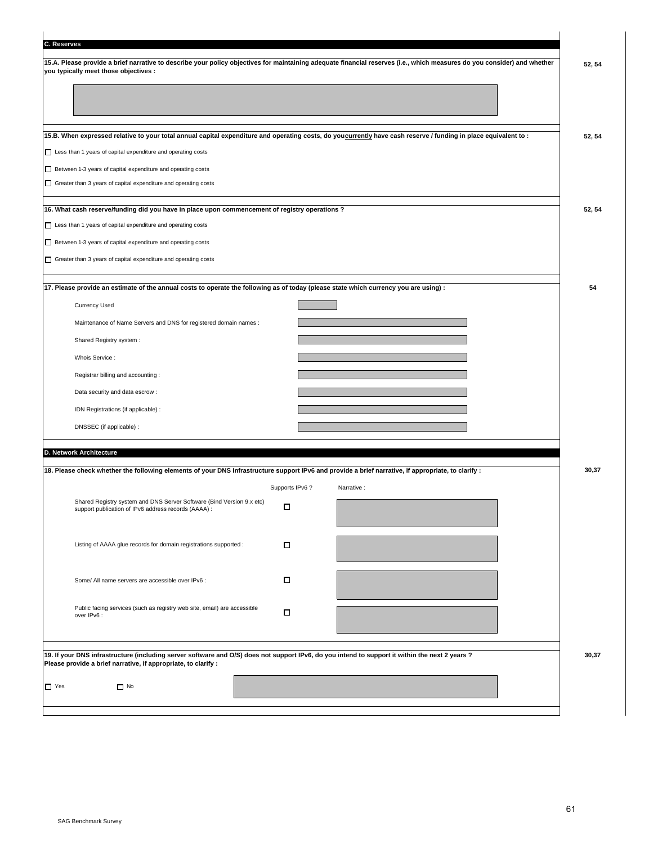| C. Reserves |                                                                                                                                                                          |        |
|-------------|--------------------------------------------------------------------------------------------------------------------------------------------------------------------------|--------|
|             | 15.A. Please provide a brief narrative to describe your policy objectives for maintaining adequate financial reserves (i.e., which measures do you consider) and whether | 52, 54 |
|             | you typically meet those objectives :                                                                                                                                    |        |
|             |                                                                                                                                                                          |        |
|             |                                                                                                                                                                          |        |
|             | 15.B. When expressed relative to your total annual capital expenditure and operating costs, do youcurrently have cash reserve / funding in place equivalent to :         |        |
|             | Less than 1 years of capital expenditure and operating costs                                                                                                             | 52, 54 |
|             | Between 1-3 years of capital expenditure and operating costs                                                                                                             |        |
|             | Greater than 3 years of capital expenditure and operating costs                                                                                                          |        |
|             |                                                                                                                                                                          |        |
|             | 16. What cash reserve/funding did you have in place upon commencement of registry operations ?                                                                           | 52, 54 |
|             | Less than 1 years of capital expenditure and operating costs                                                                                                             |        |
|             | Between 1-3 years of capital expenditure and operating costs                                                                                                             |        |
|             | Greater than 3 years of capital expenditure and operating costs                                                                                                          |        |
|             | 17. Please provide an estimate of the annual costs to operate the following as of today (please state which currency you are using) :                                    | 54     |
|             |                                                                                                                                                                          |        |
|             | <b>Currency Used</b>                                                                                                                                                     |        |
|             | Maintenance of Name Servers and DNS for registered domain names :                                                                                                        |        |
|             | Shared Registry system :                                                                                                                                                 |        |
|             | Whois Service:                                                                                                                                                           |        |
|             | Registrar billing and accounting:                                                                                                                                        |        |
|             | Data security and data escrow:                                                                                                                                           |        |
|             | IDN Registrations (if applicable) :                                                                                                                                      |        |
|             | DNSSEC (if applicable) :                                                                                                                                                 |        |
|             | D. Network Architecture                                                                                                                                                  |        |
|             | 18. Please check whether the following elements of your DNS Infrastructure support IPv6 and provide a brief narrative, if appropriate, to clarify :                      | 30,37  |
|             | Supports IPv6?<br>Narrative :                                                                                                                                            |        |
|             | Shared Registry system and DNS Server Software (Bind Version 9.x etc)                                                                                                    |        |
|             | □<br>support publication of IPv6 address records (AAAA) :                                                                                                                |        |
|             |                                                                                                                                                                          |        |
|             | Listing of AAAA glue records for domain registrations supported :<br>□                                                                                                   |        |
|             |                                                                                                                                                                          |        |
|             | 口<br>Some/ All name servers are accessible over IPv6 :                                                                                                                   |        |
|             |                                                                                                                                                                          |        |
|             | Public facing services (such as registry web site, email) are accessible<br>П<br>over IPv6 :                                                                             |        |
|             |                                                                                                                                                                          |        |
|             | 19. If your DNS infrastructure (including server software and O/S) does not support IPv6, do you intend to support it within the next 2 years ?                          | 30,37  |
|             | Please provide a brief narrative, if appropriate, to clarify :                                                                                                           |        |
| $\Box$ Yes  | $\Box$ No                                                                                                                                                                |        |
|             |                                                                                                                                                                          |        |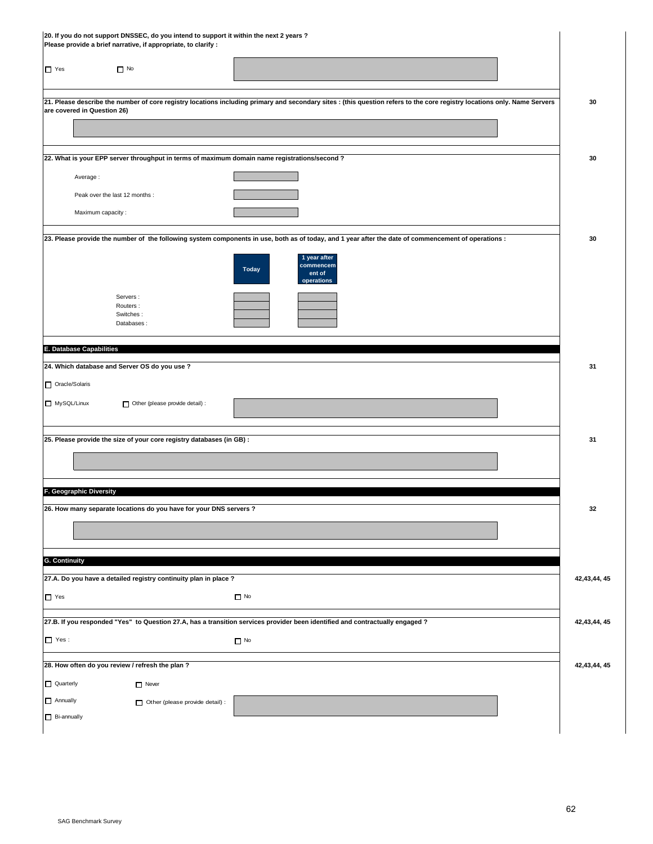| $\Box$ Yes<br>$\Box$ No<br>21. Please describe the number of core registry locations including primary and secondary sites : (this question refers to the core registry locations only. Name Servers<br>are covered in Question 26)<br>22. What is your EPP server throughput in terms of maximum domain name registrations/second ?<br>Average:<br>Peak over the last 12 months :<br>Maximum capacity: | 30<br>30       |
|---------------------------------------------------------------------------------------------------------------------------------------------------------------------------------------------------------------------------------------------------------------------------------------------------------------------------------------------------------------------------------------------------------|----------------|
|                                                                                                                                                                                                                                                                                                                                                                                                         |                |
|                                                                                                                                                                                                                                                                                                                                                                                                         |                |
|                                                                                                                                                                                                                                                                                                                                                                                                         |                |
|                                                                                                                                                                                                                                                                                                                                                                                                         |                |
|                                                                                                                                                                                                                                                                                                                                                                                                         |                |
|                                                                                                                                                                                                                                                                                                                                                                                                         |                |
|                                                                                                                                                                                                                                                                                                                                                                                                         |                |
|                                                                                                                                                                                                                                                                                                                                                                                                         |                |
| 23. Please provide the number of the following system components in use, both as of today, and 1 year after the date of commencement of operations :                                                                                                                                                                                                                                                    | 30             |
| 1 year after<br>commencem<br><b>Today</b><br>ent of<br>operations                                                                                                                                                                                                                                                                                                                                       |                |
| Servers:<br>Routers:<br>Switches:<br>Databases:                                                                                                                                                                                                                                                                                                                                                         |                |
|                                                                                                                                                                                                                                                                                                                                                                                                         |                |
| E. Database Capabilities                                                                                                                                                                                                                                                                                                                                                                                |                |
| 24. Which database and Server OS do you use ?                                                                                                                                                                                                                                                                                                                                                           | 31             |
| Oracle/Solaris                                                                                                                                                                                                                                                                                                                                                                                          |                |
| MySQL/Linux<br>Other (please provide detail) :                                                                                                                                                                                                                                                                                                                                                          |                |
| 25. Please provide the size of your core registry databases (in GB) :                                                                                                                                                                                                                                                                                                                                   | 31             |
|                                                                                                                                                                                                                                                                                                                                                                                                         |                |
| F. Geographic Diversity                                                                                                                                                                                                                                                                                                                                                                                 |                |
| 26. How many separate locations do you have for your DNS servers ?                                                                                                                                                                                                                                                                                                                                      | 32             |
|                                                                                                                                                                                                                                                                                                                                                                                                         |                |
| <b>G.</b> Continuity                                                                                                                                                                                                                                                                                                                                                                                    |                |
| 27.A. Do you have a detailed registry continuity plan in place ?                                                                                                                                                                                                                                                                                                                                        | 42,43,44,45    |
| $\Box$ No<br>$\Box$ Yes                                                                                                                                                                                                                                                                                                                                                                                 |                |
| 27.B. If you responded "Yes" to Question 27.A, has a transition services provider been identified and contractually engaged ?                                                                                                                                                                                                                                                                           | 42,43,44,45    |
| $\Box$ Yes:<br>$\Box$ No                                                                                                                                                                                                                                                                                                                                                                                |                |
| 28. How often do you review / refresh the plan ?                                                                                                                                                                                                                                                                                                                                                        | 42, 43, 44, 45 |
| Quarterly<br>$\Box$ Never                                                                                                                                                                                                                                                                                                                                                                               |                |
| $\Box$ Annually<br>Other (please provide detail) :                                                                                                                                                                                                                                                                                                                                                      |                |
| $\Box$ Bi-annually                                                                                                                                                                                                                                                                                                                                                                                      |                |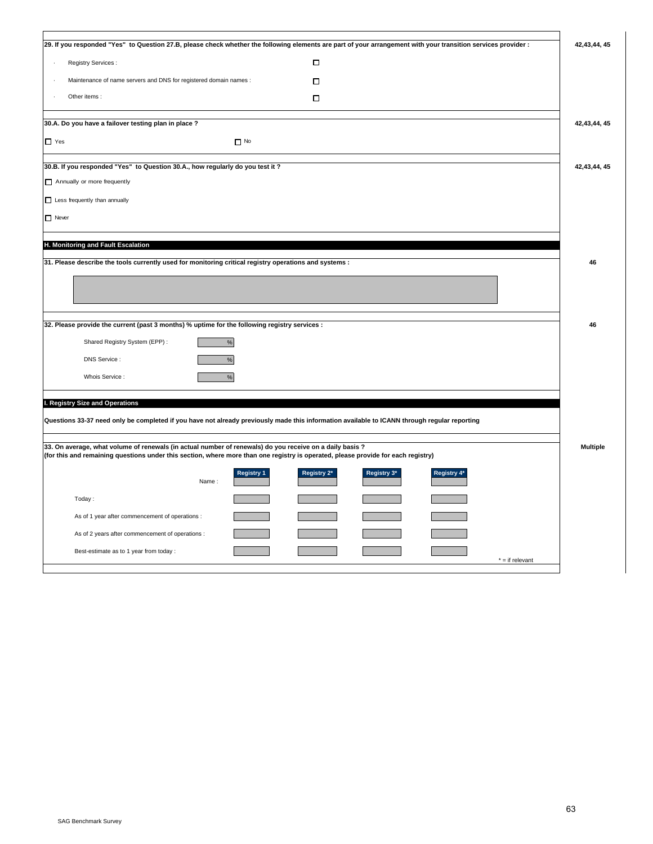|                                                                                                                                                                                                                                               | 29. If you responded "Yes" to Question 27.B, please check whether the following elements are part of your arrangement with your transition services provider : | 42,43,44,45     |
|-----------------------------------------------------------------------------------------------------------------------------------------------------------------------------------------------------------------------------------------------|----------------------------------------------------------------------------------------------------------------------------------------------------------------|-----------------|
|                                                                                                                                                                                                                                               |                                                                                                                                                                |                 |
| Registry Services :                                                                                                                                                                                                                           | П                                                                                                                                                              |                 |
| Maintenance of name servers and DNS for registered domain names :                                                                                                                                                                             | о                                                                                                                                                              |                 |
| Other items:                                                                                                                                                                                                                                  | П                                                                                                                                                              |                 |
| 30.A. Do you have a failover testing plan in place ?                                                                                                                                                                                          |                                                                                                                                                                | 42, 43, 44, 45  |
| $\Box$ Yes<br>$\Box$ No                                                                                                                                                                                                                       |                                                                                                                                                                |                 |
| 30.B. If you responded "Yes" to Question 30.A., how regularly do you test it ?                                                                                                                                                                |                                                                                                                                                                | 42, 43, 44, 45  |
| Annually or more frequently                                                                                                                                                                                                                   |                                                                                                                                                                |                 |
| $\Box$ Less frequently than annually                                                                                                                                                                                                          |                                                                                                                                                                |                 |
| $\Box$ Never                                                                                                                                                                                                                                  |                                                                                                                                                                |                 |
| H. Monitoring and Fault Escalation                                                                                                                                                                                                            |                                                                                                                                                                |                 |
| 31. Please describe the tools currently used for monitoring critical registry operations and systems :                                                                                                                                        |                                                                                                                                                                | 46              |
|                                                                                                                                                                                                                                               |                                                                                                                                                                |                 |
|                                                                                                                                                                                                                                               |                                                                                                                                                                |                 |
|                                                                                                                                                                                                                                               |                                                                                                                                                                |                 |
| 32. Please provide the current (past 3 months) % uptime for the following registry services :                                                                                                                                                 |                                                                                                                                                                | 46              |
| Shared Registry System (EPP):<br>$\%$                                                                                                                                                                                                         |                                                                                                                                                                |                 |
| DNS Service :<br>%                                                                                                                                                                                                                            |                                                                                                                                                                |                 |
| Whois Service :                                                                                                                                                                                                                               |                                                                                                                                                                |                 |
| %                                                                                                                                                                                                                                             |                                                                                                                                                                |                 |
| I. Registry Size and Operations                                                                                                                                                                                                               |                                                                                                                                                                |                 |
| Questions 33-37 need only be completed if you have not already previously made this information available to ICANN through regular reporting                                                                                                  |                                                                                                                                                                |                 |
|                                                                                                                                                                                                                                               |                                                                                                                                                                |                 |
| 33. On average, what volume of renewals (in actual number of renewals) do you receive on a daily basis ?<br>(for this and remaining questions under this section, where more than one registry is operated, please provide for each registry) |                                                                                                                                                                | <b>Multiple</b> |
| <b>Registry 1</b>                                                                                                                                                                                                                             | Registry 2*<br>Registry 3*<br>Registry 4*                                                                                                                      |                 |
| Name:                                                                                                                                                                                                                                         |                                                                                                                                                                |                 |
| Today:                                                                                                                                                                                                                                        |                                                                                                                                                                |                 |
| As of 1 year after commencement of operations :                                                                                                                                                                                               |                                                                                                                                                                |                 |
| As of 2 years after commencement of operations :                                                                                                                                                                                              |                                                                                                                                                                |                 |
| Best-estimate as to 1 year from today :                                                                                                                                                                                                       |                                                                                                                                                                |                 |
|                                                                                                                                                                                                                                               | $*$ = if relevant                                                                                                                                              |                 |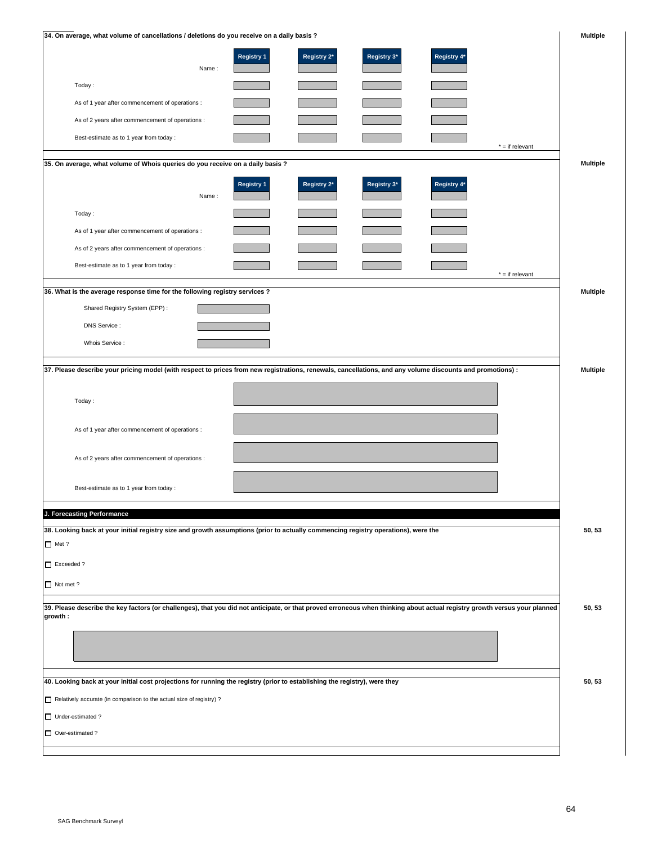| 34. On average, what volume of cancellations / deletions do you receive on a daily basis ?                                                                                           |                   |             |             |             |                   | <b>Multiple</b> |
|--------------------------------------------------------------------------------------------------------------------------------------------------------------------------------------|-------------------|-------------|-------------|-------------|-------------------|-----------------|
| Name:                                                                                                                                                                                | <b>Registry 1</b> | Registry 2* | Registry 3* | Registry 4* |                   |                 |
| Today:                                                                                                                                                                               |                   |             |             |             |                   |                 |
| As of 1 year after commencement of operations :                                                                                                                                      |                   |             |             |             |                   |                 |
| As of 2 years after commencement of operations :                                                                                                                                     |                   |             |             |             |                   |                 |
| Best-estimate as to 1 year from today :                                                                                                                                              |                   |             |             |             |                   |                 |
| 35. On average, what volume of Whois queries do you receive on a daily basis ?                                                                                                       |                   |             |             |             | $* = if relevant$ |                 |
|                                                                                                                                                                                      |                   |             |             |             |                   | <b>Multiple</b> |
| Name:                                                                                                                                                                                | <b>Registry 1</b> | Registry 2* | Registry 3* | Registry 4* |                   |                 |
| Today:                                                                                                                                                                               |                   |             |             |             |                   |                 |
| As of 1 year after commencement of operations :                                                                                                                                      |                   |             |             |             |                   |                 |
| As of 2 years after commencement of operations :                                                                                                                                     |                   |             |             |             |                   |                 |
| Best-estimate as to 1 year from today :                                                                                                                                              |                   |             |             |             | $* = if relevant$ |                 |
| 36. What is the average response time for the following registry services ?                                                                                                          |                   |             |             |             |                   | <b>Multiple</b> |
| Shared Registry System (EPP):                                                                                                                                                        |                   |             |             |             |                   |                 |
| DNS Service :                                                                                                                                                                        |                   |             |             |             |                   |                 |
| Whois Service :                                                                                                                                                                      |                   |             |             |             |                   |                 |
|                                                                                                                                                                                      |                   |             |             |             |                   |                 |
| 37. Please describe your pricing model (with respect to prices from new registrations, renewals, cancellations, and any volume discounts and promotions) :                           |                   |             |             |             |                   | <b>Multiple</b> |
| Today:                                                                                                                                                                               |                   |             |             |             |                   |                 |
| As of 1 year after commencement of operations :                                                                                                                                      |                   |             |             |             |                   |                 |
| As of 2 years after commencement of operations :                                                                                                                                     |                   |             |             |             |                   |                 |
| Best-estimate as to 1 year from today :                                                                                                                                              |                   |             |             |             |                   |                 |
| J. Forecasting Performance                                                                                                                                                           |                   |             |             |             |                   |                 |
| 38. Looking back at your initial registry size and growth assumptions (prior to actually commencing registry operations), were the                                                   |                   |             |             |             |                   | 50, 53          |
| $\Box$ Met ?                                                                                                                                                                         |                   |             |             |             |                   |                 |
| Exceeded?                                                                                                                                                                            |                   |             |             |             |                   |                 |
| Not met ?                                                                                                                                                                            |                   |             |             |             |                   |                 |
| 39. Please describe the key factors (or challenges), that you did not anticipate, or that proved erroneous when thinking about actual registry growth versus your planned<br>growth: |                   |             |             |             |                   | 50, 53          |
|                                                                                                                                                                                      |                   |             |             |             |                   |                 |
| 40. Looking back at your initial cost projections for running the registry (prior to establishing the registry), were they                                                           |                   |             |             |             |                   | 50, 53          |
| Relatively accurate (in comparison to the actual size of registry) ?                                                                                                                 |                   |             |             |             |                   |                 |
| Under-estimated?                                                                                                                                                                     |                   |             |             |             |                   |                 |
| Over-estimated?                                                                                                                                                                      |                   |             |             |             |                   |                 |
|                                                                                                                                                                                      |                   |             |             |             |                   |                 |